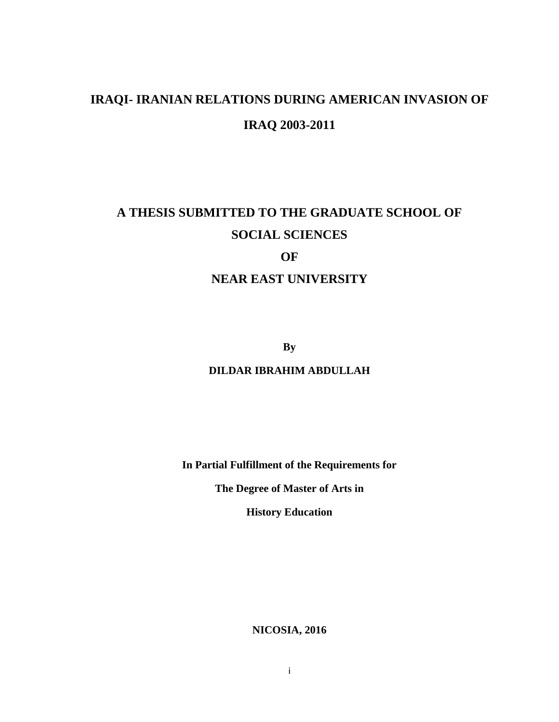# **IRAQI- IRANIAN RELATIONS DURING AMERICAN INVASION OF IRAQ 2003-2011**

# **A THESIS SUBMITTED TO THE GRADUATE SCHOOL OF SOCIAL SCIENCES OF NEAR EAST UNIVERSITY**

**By**

## **DILDAR IBRAHIM ABDULLAH**

**In Partial Fulfillment of the Requirements for**

**The Degree of Master of Arts in**

**History Education**

**NICOSIA, 2016**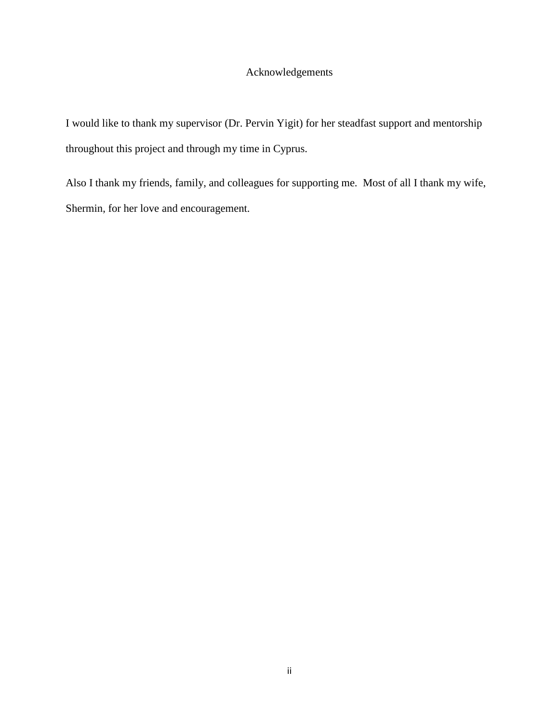## Acknowledgements

I would like to thank my supervisor (Dr. Pervin Yigit) for her steadfast support and mentorship throughout this project and through my time in Cyprus.

Also I thank my friends, family, and colleagues for supporting me. Most of all I thank my wife, Shermin, for her love and encouragement.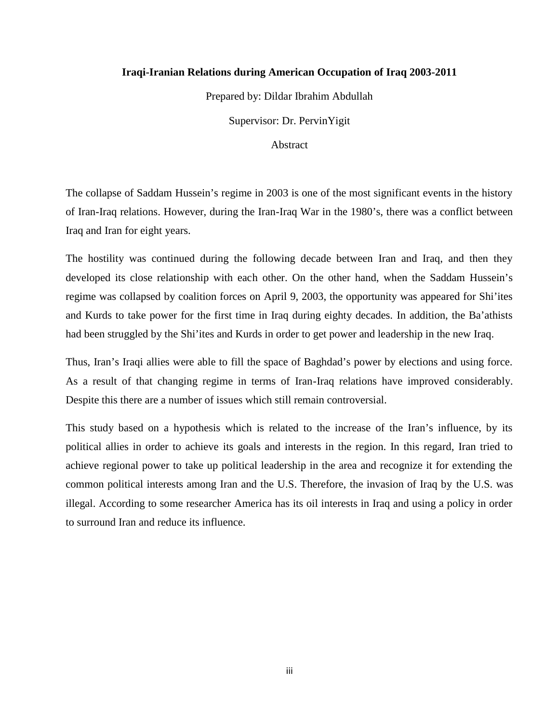#### **Iraqi-Iranian Relations during American Occupation of Iraq 2003-2011**

Prepared by: Dildar Ibrahim Abdullah

Supervisor: Dr. PervinYigit

Abstract

The collapse of Saddam Hussein's regime in 2003 is one of the most significant events in the history of Iran-Iraq relations. However, during the Iran-Iraq War in the 1980's, there was a conflict between Iraq and Iran for eight years.

The hostility was continued during the following decade between Iran and Iraq, and then they developed its close relationship with each other. On the other hand, when the Saddam Hussein's regime was collapsed by coalition forces on April 9, 2003, the opportunity was appeared for Shi'ites and Kurds to take power for the first time in Iraq during eighty decades. In addition, the Ba'athists had been struggled by the Shi'ites and Kurds in order to get power and leadership in the new Iraq.

Thus, Iran's Iraqi allies were able to fill the space of Baghdad's power by elections and using force. As a result of that changing regime in terms of Iran-Iraq relations have improved considerably. Despite this there are a number of issues which still remain controversial.

This study based on a hypothesis which is related to the increase of the Iran's influence, by its political allies in order to achieve its goals and interests in the region. In this regard, Iran tried to achieve regional power to take up political leadership in the area and recognize it for extending the common political interests among Iran and the U.S. Therefore, the invasion of Iraq by the U.S. was illegal. According to some researcher America has its oil interests in Iraq and using a policy in order to surround Iran and reduce its influence.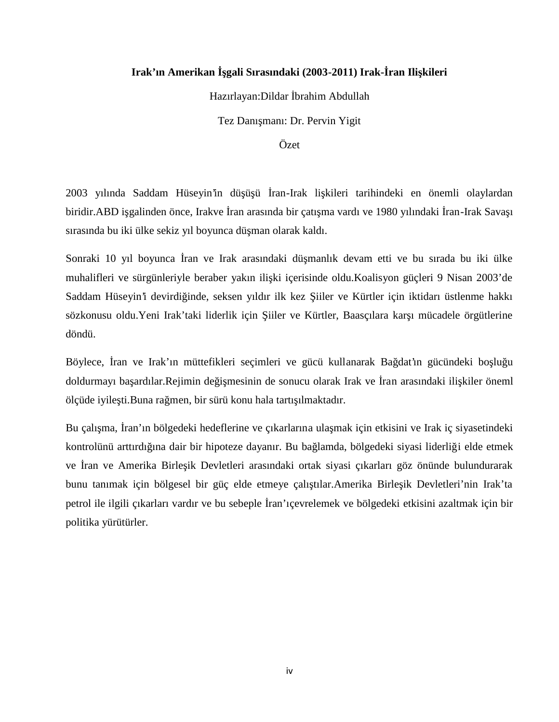### Irak'ın Amerikan gali Sırasındaki (2003-2011) Irak-ran Ili kileri

Hazırlayan: Dildar brahim Abdullah

Tez Danı manı: Dr. Pervin Yigit

Özet

2003 yılında Saddam Hüseyin'in dü ü ü ran-Irak li kileri tarihindeki en önemli olaylardan biridir.ABD i galinden önce, Irakve ran arasında bir çatı ma vardı ve 1980 yılındaki ran-Irak Sava 1 sırasında bu iki ülke sekiz yıl boyunca dü man olarak kaldı.

Sonraki 10 yıl boyunca ran ve Irak arasındaki dü manlık devam etti ve bu sırada bu iki ülke muhalifleri ve sürgünleriyle beraber yakın ili ki içerisinde oldu.Koalisyon güçleri 9 Nisan 2003'de Saddam Hüseyin'i devirdi inde, seksen yıldır ilk kez iiler ve Kürtler için iktidarı üstlenme hakkı sözkonusu oldu. Yeni Irak'taki liderlik için iiler ve Kürtler, Baasçılara kar 1 mücadele örgütlerine döndü.

Böylece, ran ve Irak'ın müttefikleri seçimleri ve gücü kullanarak Ba dat'ın gücündeki bolu u doldurmayı ba ardılar.Rejimin de i mesinin de sonucu olarak Irak ve ran arasındaki ili kiler öneml ölçüde iyile ti.Buna rağmen, bir sürü konu hala tartı ilmaktadır.

Bu çalı ma, ran'ın bölgedeki hedeflerine ve çıkarlarına ula mak için etkisini ve Irak iç siyasetindeki kontrolünü arttırdı ına dair bir hipoteze dayanır. Bu ba lamda, bölgedeki siyasi liderli i elde etmek ve ran ve Amerika Birle ik Devletleri arasındaki ortak siyasi çıkarları göz önünde bulundurarak bunu tanımak için bölgesel bir güç elde etmeye çalı tılar.Amerika Birle ik Devletleri'nin Irak'ta petrol ile ilgili çıkarları vardır ve bu sebeple ran'ıçevrelemek ve bölgedeki etkisini azaltmak için bir politika yürütürler.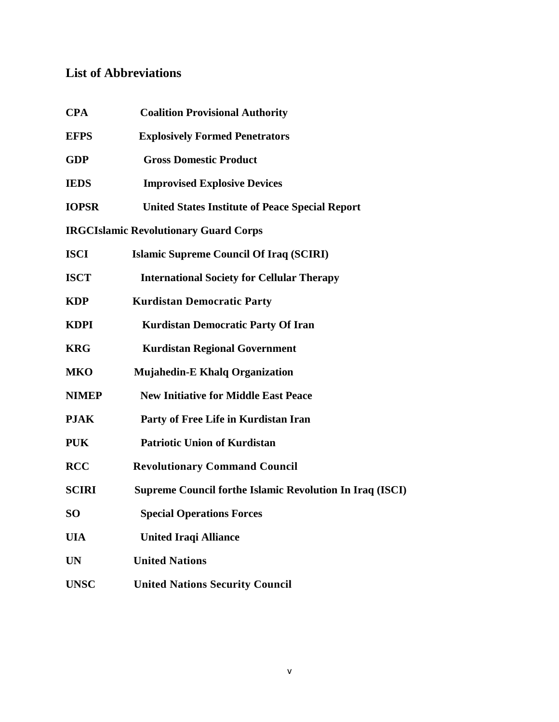# **List of Abbreviations**

| <b>CPA</b>   | <b>Coalition Provisional Authority</b>                          |
|--------------|-----------------------------------------------------------------|
| <b>EFPS</b>  | <b>Explosively Formed Penetrators</b>                           |
| <b>GDP</b>   | <b>Gross Domestic Product</b>                                   |
| <b>IEDS</b>  | <b>Improvised Explosive Devices</b>                             |
| <b>IOPSR</b> | <b>United States Institute of Peace Special Report</b>          |
|              | <b>IRGCIslamic Revolutionary Guard Corps</b>                    |
| <b>ISCI</b>  | <b>Islamic Supreme Council Of Iraq (SCIRI)</b>                  |
| <b>ISCT</b>  | <b>International Society for Cellular Therapy</b>               |
| <b>KDP</b>   | <b>Kurdistan Democratic Party</b>                               |
| <b>KDPI</b>  | Kurdistan Democratic Party Of Iran                              |
| <b>KRG</b>   | <b>Kurdistan Regional Government</b>                            |
| MKO          | <b>Mujahedin-E Khalq Organization</b>                           |
| <b>NIMEP</b> | <b>New Initiative for Middle East Peace</b>                     |
| <b>PJAK</b>  | Party of Free Life in Kurdistan Iran                            |
| <b>PUK</b>   | <b>Patriotic Union of Kurdistan</b>                             |
| <b>RCC</b>   | <b>Revolutionary Command Council</b>                            |
| <b>SCIRI</b> | <b>Supreme Council forthe Islamic Revolution In Iraq (ISCI)</b> |
| SO           | <b>Special Operations Forces</b>                                |
| <b>UIA</b>   | <b>United Iraqi Alliance</b>                                    |
| UN           | <b>United Nations</b>                                           |
| <b>UNSC</b>  | <b>United Nations Security Council</b>                          |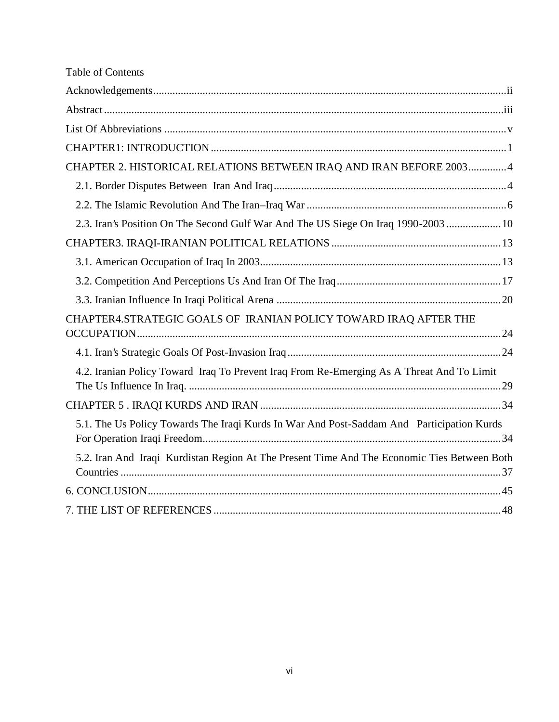| <b>Table of Contents</b>                                                                    |  |
|---------------------------------------------------------------------------------------------|--|
|                                                                                             |  |
|                                                                                             |  |
|                                                                                             |  |
|                                                                                             |  |
| CHAPTER 2. HISTORICAL RELATIONS BETWEEN IRAQ AND IRAN BEFORE 20034                          |  |
|                                                                                             |  |
|                                                                                             |  |
| 2.3. Iran's Position On The Second Gulf War And The US Siege On Iraq 1990-2003  10          |  |
|                                                                                             |  |
|                                                                                             |  |
|                                                                                             |  |
|                                                                                             |  |
| CHAPTER4.STRATEGIC GOALS OF IRANIAN POLICY TOWARD IRAQ AFTER THE                            |  |
|                                                                                             |  |
| 4.2. Iranian Policy Toward Iraq To Prevent Iraq From Re-Emerging As A Threat And To Limit   |  |
|                                                                                             |  |
| 5.1. The Us Policy Towards The Iraqi Kurds In War And Post-Saddam And Participation Kurds   |  |
| 5.2. Iran And Iraqi Kurdistan Region At The Present Time And The Economic Ties Between Both |  |
|                                                                                             |  |
|                                                                                             |  |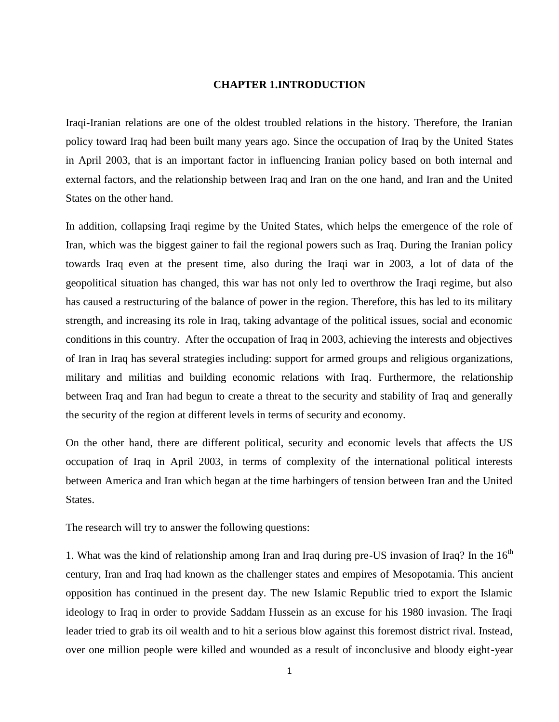#### **CHAPTER 1.INTRODUCTION**

Iraqi-Iranian relations are one of the oldest troubled relations in the history. Therefore, the Iranian policy toward Iraq had been built many years ago. Since the occupation of Iraq by the United States in April 2003, that is an important factor in influencing Iranian policy based on both internal and external factors, and the relationship between Iraq and Iran on the one hand, and Iran and the United States on the other hand.

In addition, collapsing Iraqi regime by the United States, which helps the emergence of the role of Iran, which was the biggest gainer to fail the regional powers such as Iraq. During the Iranian policy towards Iraq even at the present time, also during the Iraqi war in 2003, a lot of data of the geopolitical situation has changed, this war has not only led to overthrow the Iraqi regime, but also has caused a restructuring of the balance of power in the region. Therefore, this has led to its military strength, and increasing its role in Iraq, taking advantage of the political issues, social and economic conditions in this country. After the occupation of Iraq in 2003, achieving the interests and objectives of Iran in Iraq has several strategies including: support for armed groups and religious organizations, military and militias and building economic relations with Iraq. Furthermore, the relationship between Iraq and Iran had begun to create a threat to the security and stability of Iraq and generally the security of the region at different levels in terms of security and economy.

On the other hand, there are different political, security and economic levels that affects the US occupation of Iraq in April 2003, in terms of complexity of the international political interests between America and Iran which began at the time harbingers of tension between Iran and the United States.

The research will try to answer the following questions:

1. What was the kind of relationship among Iran and Iraq during pre-US invasion of Iraq? In the  $16<sup>th</sup>$ century, Iran and Iraq had known as the challenger states and empires of Mesopotamia. This ancient opposition has continued in the present day. The new Islamic Republic tried to export the Islamic ideology to Iraq in order to provide Saddam Hussein as an excuse for his 1980 invasion. The Iraqi leader tried to grab its oil wealth and to hit a serious blow against this foremost district rival. Instead, over one million people were killed and wounded as a result of inconclusive and bloody eight-year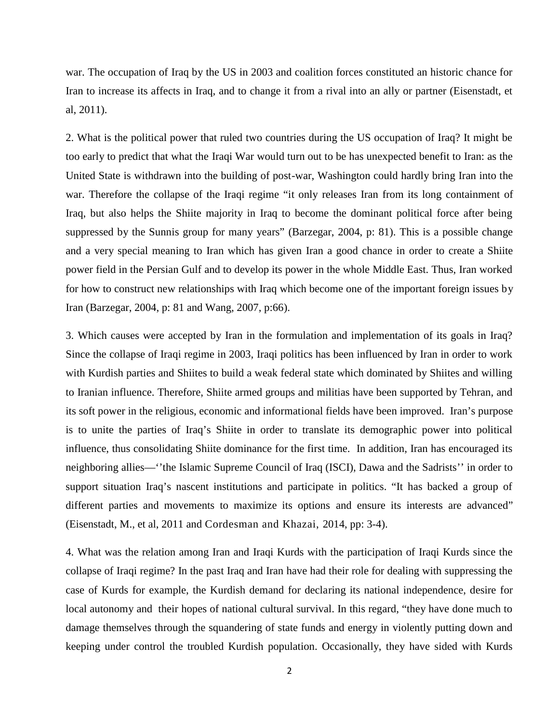war. The occupation of Iraq by the US in 2003 and coalition forces constituted an historic chance for Iran to increase its affects in Iraq, and to change it from a rival into an ally or partner (Eisenstadt, et al, 2011).

2. What is the political power that ruled two countries during the US occupation of Iraq? It might be too early to predict that what the Iraqi War would turn out to be has unexpected benefit to Iran: as the United State is withdrawn into the building of post-war, Washington could hardly bring Iran into the war. Therefore the collapse of the Iraqi regime "it only releases Iran from its long containment of Iraq, but also helps the Shiite majority in Iraq to become the dominant political force after being suppressed by the Sunnis group for many years" (Barzegar, 2004, p: 81). This is a possible change and a very special meaning to Iran which has given Iran a good chance in order to create a Shiite power field in the Persian Gulf and to develop its power in the whole Middle East. Thus, Iran worked for how to construct new relationships with Iraq which become one of the important foreign issues by Iran (Barzegar, 2004, p: 81 and Wang, 2007, p:66).

3. Which causes were accepted by Iran in the formulation and implementation of its goals in Iraq? Since the collapse of Iraqi regime in 2003, Iraqi politics has been influenced by Iran in order to work with Kurdish parties and Shiites to build a weak federal state which dominated by Shiites and willing to Iranian influence. Therefore, Shiite armed groups and militias have been supported by Tehran, and its soft power in the religious, economic and informational fields have been improved. Iran's purpose is to unite the parties of Iraq's Shiite in order to translate its demographic power into political influence, thus consolidating Shiite dominance for the first time. In addition, Iran has encouraged its neighboring allies—''the Islamic Supreme Council of Iraq (ISCI), Dawa and the Sadrists'' in order to support situation Iraq's nascent institutions and participate in politics. "It has backed a group of different parties and movements to maximize its options and ensure its interests are advanced" (Eisenstadt, M., et al, 2011 and Cordesman and Khazai, 2014, pp: 3-4).

4. What was the relation among Iran and Iraqi Kurds with the participation of Iraqi Kurds since the collapse of Iraqi regime? In the past Iraq and Iran have had their role for dealing with suppressing the case of Kurds for example, the Kurdish demand for declaring its national independence, desire for local autonomy and their hopes of national cultural survival. In this regard, "they have done much to damage themselves through the squandering of state funds and energy in violently putting down and keeping under control the troubled Kurdish population. Occasionally, they have sided with Kurds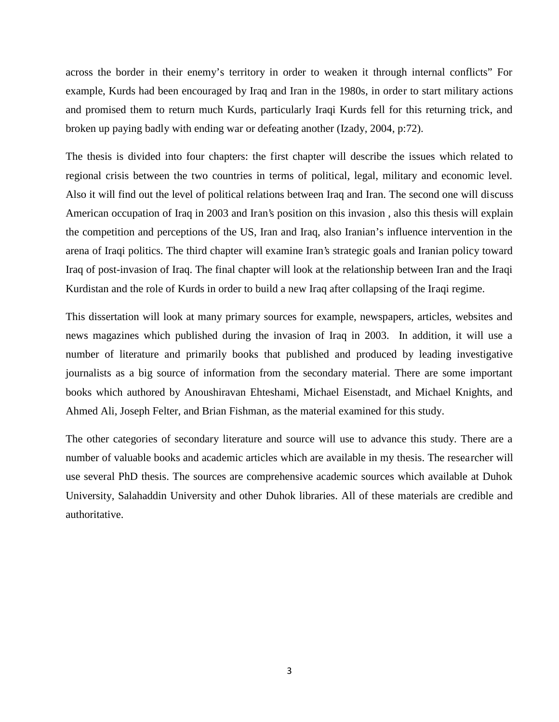across the border in their enemy's territory in order to weaken it through internal conflicts" For example, Kurds had been encouraged by Iraq and Iran in the 1980s, in order to start military actions and promised them to return much Kurds, particularly Iraqi Kurds fell for this returning trick, and broken up paying badly with ending war or defeating another (Izady, 2004, p:72).

The thesis is divided into four chapters: the first chapter will describe the issues which related to regional crisis between the two countries in terms of political, legal, military and economic level. Also it will find out the level of political relations between Iraq and Iran. The second one will discuss American occupation of Iraq in 2003 and Iran's position on this invasion , also this thesis will explain the competition and perceptions of the US, Iran and Iraq, also Iranian's influence intervention in the arena of Iraqi politics. The third chapter will examine Iran's strategic goals and Iranian policy toward Iraq of post-invasion of Iraq. The final chapter will look at the relationship between Iran and the Iraqi Kurdistan and the role of Kurds in order to build a new Iraq after collapsing of the Iraqi regime.

This dissertation will look at many primary sources for example, newspapers, articles, websites and news magazines which published during the invasion of Iraq in 2003. In addition, it will use a number of literature and primarily books that published and produced by leading investigative journalists as a big source of information from the secondary material. There are some important books which authored by Anoushiravan Ehteshami, Michael Eisenstadt, and Michael Knights, and Ahmed Ali, Joseph Felter, and Brian Fishman, as the material examined for this study.

The other categories of secondary literature and source will use to advance this study. There are a number of valuable books and academic articles which are available in my thesis. The researcher will use several PhD thesis. The sources are comprehensive academic sources which available at Duhok University, Salahaddin University and other Duhok libraries. All of these materials are credible and authoritative.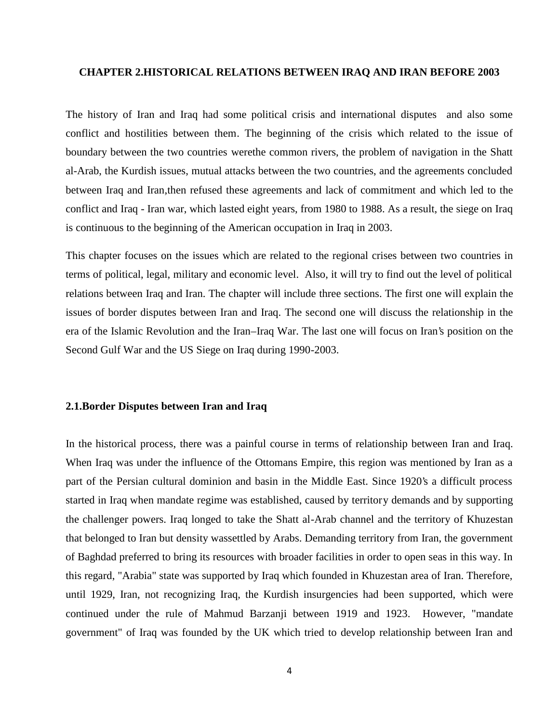#### **CHAPTER 2.HISTORICAL RELATIONS BETWEEN IRAQ AND IRAN BEFORE 2003**

The history of Iran and Iraq had some political crisis and international disputes and also some conflict and hostilities between them. The beginning of the crisis which related to the issue of boundary between the two countries werethe common rivers, the problem of navigation in the Shatt al-Arab, the Kurdish issues, mutual attacks between the two countries, and the agreements concluded between Iraq and Iran,then refused these agreements and lack of commitment and which led to the conflict and Iraq - Iran war, which lasted eight years, from 1980 to 1988. As a result, the siege on Iraq is continuous to the beginning of the American occupation in Iraq in 2003.

This chapter focuses on the issues which are related to the regional crises between two countries in terms of political, legal, military and economic level. Also, it will try to find out the level of political relations between Iraq and Iran. The chapter will include three sections. The first one will explain the issues of border disputes between Iran and Iraq. The second one will discuss the relationship in the era of the Islamic Revolution and the Iran–Iraq War. The last one will focus on Iran's position on the Second Gulf War and the US Siege on Iraq during 1990-2003.

#### **2.1.Border Disputes between Iran and Iraq**

In the historical process, there was a painful course in terms of relationship between Iran and Iraq. When Iraq was under the influence of the Ottomans Empire, this region was mentioned by Iran as a part of the Persian cultural dominion and basin in the Middle East. Since 1920's a difficult process started in Iraq when mandate regime was established, caused by territory demands and by supporting the challenger powers. Iraq longed to take the Shatt al-Arab channel and the territory of Khuzestan that belonged to Iran but density wassettled by Arabs. Demanding territory from Iran, the government of Baghdad preferred to bring its resources with broader facilities in order to open seas in this way. In this regard, "Arabia" state was supported by Iraq which founded in Khuzestan area of Iran. Therefore, until 1929, Iran, not recognizing Iraq, the Kurdish insurgencies had been supported, which were continued under the rule of Mahmud Barzanji between 1919 and 1923. However, "mandate government" of Iraq was founded by the UK which tried to develop relationship between Iran and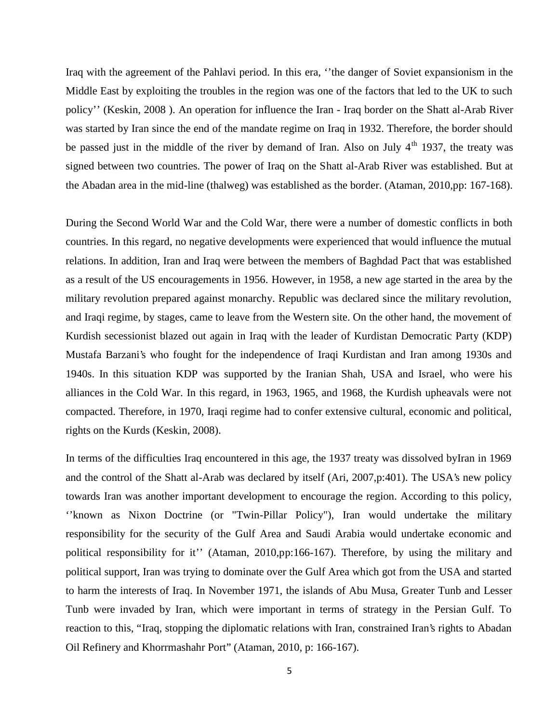Iraq with the agreement of the Pahlavi period. In this era, ''the danger of Soviet expansionism in the Middle East by exploiting the troubles in the region was one of the factors that led to the UK to such policy'' (Keskin, 2008 ). An operation for influence the Iran - Iraq border on the Shatt al-Arab River was started by Iran since the end of the mandate regime on Iraq in 1932. Therefore, the border should be passed just in the middle of the river by demand of Iran. Also on July  $4<sup>th</sup>$  1937, the treaty was signed between two countries. The power of Iraq on the Shatt al-Arab River was established. But at the Abadan area in the mid-line (thalweg) was established as the border. (Ataman, 2010,pp: 167-168).

During the Second World War and the Cold War, there were a number of domestic conflicts in both countries. In this regard, no negative developments were experienced that would influence the mutual relations. In addition, Iran and Iraq were between the members of Baghdad Pact that was established as a result of the US encouragements in 1956. However, in 1958, a new age started in the area by the military revolution prepared against monarchy. Republic was declared since the military revolution, and Iraqi regime, by stages, came to leave from the Western site. On the other hand, the movement of Kurdish secessionist blazed out again in Iraq with the leader of Kurdistan Democratic Party (KDP) Mustafa Barzani's who fought for the independence of Iraqi Kurdistan and Iran among 1930s and 1940s. In this situation KDP was supported by the Iranian Shah, USA and Israel, who were his alliances in the Cold War. In this regard, in 1963, 1965, and 1968, the Kurdish upheavals were not compacted. Therefore, in 1970, Iraqi regime had to confer extensive cultural, economic and political, rights on the Kurds (Keskin, 2008).

In terms of the difficulties Iraq encountered in this age, the 1937 treaty was dissolved byIran in 1969 and the control of the Shatt al-Arab was declared by itself (Ari, 2007,p:401). The USA's new policy towards Iran was another important development to encourage the region. According to this policy, ''known as Nixon Doctrine (or "Twin-Pillar Policy"), Iran would undertake the military responsibility for the security of the Gulf Area and Saudi Arabia would undertake economic and political responsibility for it'' (Ataman, 2010,pp:166-167). Therefore, by using the military and political support, Iran was trying to dominate over the Gulf Area which got from the USA and started to harm the interests of Iraq. In November 1971, the islands of Abu Musa, Greater Tunb and Lesser Tunb were invaded by Iran, which were important in terms of strategy in the Persian Gulf. To reaction to this, "Iraq, stopping the diplomatic relations with Iran, constrained Iran's rights to Abadan Oil Refinery and Khorrmashahr Port" (Ataman, 2010, p: 166-167).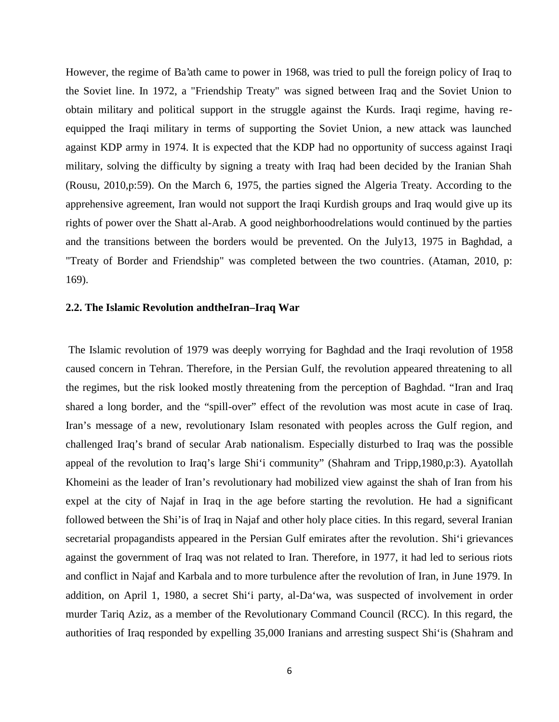However, the regime of Ba'ath came to power in 1968, was tried to pull the foreign policy of Iraq to the Soviet line. In 1972, a "Friendship Treaty" was signed between Iraq and the Soviet Union to obtain military and political support in the struggle against the Kurds. Iraqi regime, having re equipped the Iraqi military in terms of supporting the Soviet Union, a new attack was launched against KDP army in 1974. It is expected that the KDP had no opportunity of success against Iraqi military, solving the difficulty by signing a treaty with Iraq had been decided by the Iranian Shah (Rousu, 2010,p:59). On the March 6, 1975, the parties signed the Algeria Treaty. According to the apprehensive agreement, Iran would not support the Iraqi Kurdish groups and Iraq would give up its rights of power over the Shatt al-Arab. A good neighborhoodrelations would continued by the parties and the transitions between the borders would be prevented. On the July13, 1975 in Baghdad, a "Treaty of Border and Friendship" was completed between the two countries. (Ataman, 2010, p: 169).

#### **2.2. The Islamic Revolution andtheIran–Iraq War**

The Islamic revolution of 1979 was deeply worrying for Baghdad and the Iraqi revolution of 1958 caused concern in Tehran. Therefore, in the Persian Gulf, the revolution appeared threatening to all the regimes, but the risk looked mostly threatening from the perception of Baghdad. "Iran and Iraq shared a long border, and the "spill-over" effect of the revolution was most acute in case of Iraq. Iran's message of a new, revolutionary Islam resonated with peoples across the Gulf region, and challenged Iraq's brand of secular Arab nationalism. Especially disturbed to Iraq was the possible appeal of the revolution to Iraq's large Shi'i community" (Shahram and Tripp,1980,p:3). Ayatollah Khomeini as the leader of Iran's revolutionary had mobilized view against the shah of Iran from his expel at the city of Najaf in Iraq in the age before starting the revolution. He had a significant followed between the Shi'is of Iraq in Najaf and other holy place cities. In this regard, several Iranian secretarial propagandists appeared in the Persian Gulf emirates after the revolution. Shi'i grievances against the government of Iraq was not related to Iran. Therefore, in 1977, it had led to serious riots and conflict in Najaf and Karbala and to more turbulence after the revolution of Iran, in June 1979. In addition, on April 1, 1980, a secret Shi'i party, al-Da'wa, was suspected of involvement in order murder Tariq Aziz, as a member of the Revolutionary Command Council (RCC). In this regard, the authorities of Iraq responded by expelling 35,000 Iranians and arresting suspect Shi'is (Shahram and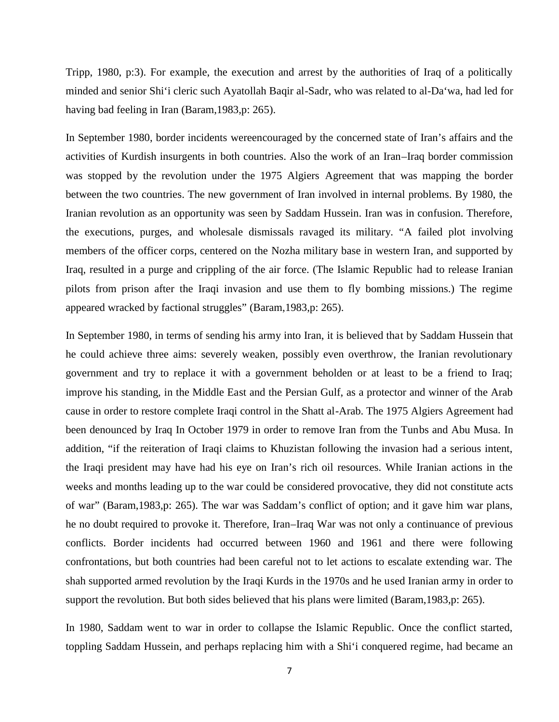Tripp, 1980, p:3). For example, the execution and arrest by the authorities of Iraq of a politically minded and senior Shi'i cleric such Ayatollah Baqir al-Sadr, who was related to al-Da'wa, had led for having bad feeling in Iran (Baram,1983,p: 265).

In September 1980, border incidents wereencouraged by the concerned state of Iran's affairs and the activities of Kurdish insurgents in both countries. Also the work of an Iran–Iraq border commission was stopped by the revolution under the 1975 Algiers Agreement that was mapping the border between the two countries. The new government of Iran involved in internal problems. By 1980, the Iranian revolution as an opportunity was seen by Saddam Hussein. Iran was in confusion. Therefore, the executions, purges, and wholesale dismissals ravaged its military. "A failed plot involving members of the officer corps, centered on the Nozha military base in western Iran, and supported by Iraq, resulted in a purge and crippling of the air force. (The Islamic Republic had to release Iranian pilots from prison after the Iraqi invasion and use them to fly bombing missions.) The regime appeared wracked by factional struggles" (Baram,1983,p: 265).

In September 1980, in terms of sending his army into Iran, it is believed that by Saddam Hussein that he could achieve three aims: severely weaken, possibly even overthrow, the Iranian revolutionary government and try to replace it with a government beholden or at least to be a friend to Iraq; improve his standing, in the Middle East and the Persian Gulf, as a protector and winner of the Arab cause in order to restore complete Iraqi control in the Shatt al-Arab. The 1975 Algiers Agreement had been denounced by Iraq In October 1979 in order to remove Iran from the Tunbs and Abu Musa. In addition, "if the reiteration of Iraqi claims to Khuzistan following the invasion had a serious intent, the Iraqi president may have had his eye on Iran's rich oil resources. While Iranian actions in the weeks and months leading up to the war could be considered provocative, they did not constitute acts of war" (Baram,1983,p: 265). The war was Saddam's conflict of option; and it gave him war plans, he no doubt required to provoke it. Therefore, Iran–Iraq War was not only a continuance of previous conflicts. Border incidents had occurred between 1960 and 1961 and there were following confrontations, but both countries had been careful not to let actions to escalate extending war. The shah supported armed revolution by the Iraqi Kurds in the 1970s and he used Iranian army in order to support the revolution. But both sides believed that his plans were limited (Baram,1983,p: 265).

In 1980, Saddam went to war in order to collapse the Islamic Republic. Once the conflict started, toppling Saddam Hussein, and perhaps replacing him with a Shi'i conquered regime, had became an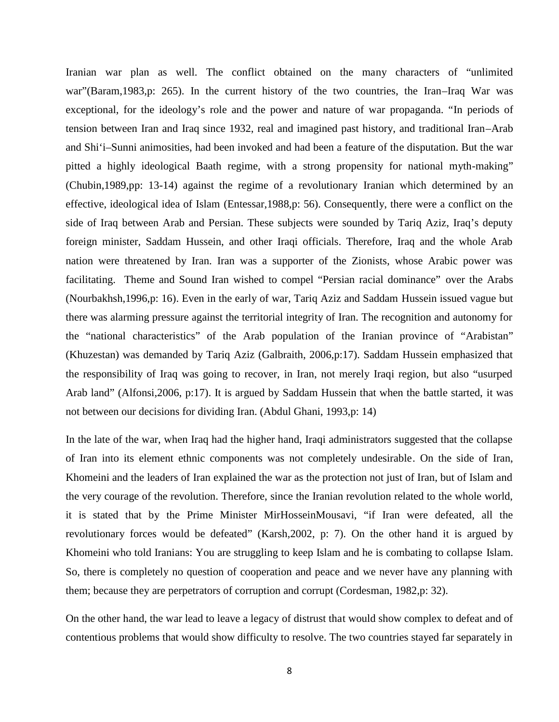Iranian war plan as well. The conflict obtained on the many characters of "unlimited war"(Baram,1983,p: 265). In the current history of the two countries, the Iran–Iraq War was exceptional, for the ideology's role and the power and nature of war propaganda. "In periods of tension between Iran and Iraq since 1932, real and imagined past history, and traditional Iran–Arab and Shi'i–Sunni animosities, had been invoked and had been a feature of the disputation. But the war pitted a highly ideological Baath regime, with a strong propensity for national myth-making" (Chubin,1989,pp: 13-14) against the regime of a revolutionary Iranian which determined by an effective, ideological idea of Islam (Entessar,1988,p: 56). Consequently, there were a conflict on the side of Iraq between Arab and Persian. These subjects were sounded by Tariq Aziz, Iraq's deputy foreign minister, Saddam Hussein, and other Iraqi officials. Therefore, Iraq and the whole Arab nation were threatened by Iran. Iran was a supporter of the Zionists, whose Arabic power was facilitating. Theme and Sound Iran wished to compel "Persian racial dominance" over the Arabs (Nourbakhsh,1996,p: 16). Even in the early of war, Tariq Aziz and Saddam Hussein issued vague but there was alarming pressure against the territorial integrity of Iran. The recognition and autonomy for the "national characteristics" of the Arab population of the Iranian province of "Arabistan" (Khuzestan) was demanded by Tariq Aziz (Galbraith, 2006,p:17). Saddam Hussein emphasized that the responsibility of Iraq was going to recover, in Iran, not merely Iraqi region, but also "usurped Arab land" (Alfonsi,2006, p:17). It is argued by Saddam Hussein that when the battle started, it was not between our decisions for dividing Iran. (Abdul Ghani, 1993,p: 14)

In the late of the war, when Iraq had the higher hand, Iraqi administrators suggested that the collapse of Iran into its element ethnic components was not completely undesirable. On the side of Iran, Khomeini and the leaders of Iran explained the war as the protection not just of Iran, but of Islam and the very courage of the revolution. Therefore, since the Iranian revolution related to the whole world, it is stated that by the Prime Minister MirHosseinMousavi, "if Iran were defeated, all the revolutionary forces would be defeated" (Karsh,2002, p: 7). On the other hand it is argued by Khomeini who told Iranians: You are struggling to keep Islam and he is combating to collapse Islam. So, there is completely no question of cooperation and peace and we never have any planning with them; because they are perpetrators of corruption and corrupt (Cordesman, 1982,p: 32).

On the other hand, the war lead to leave a legacy of distrust that would show complex to defeat and of contentious problems that would show difficulty to resolve. The two countries stayed far separately in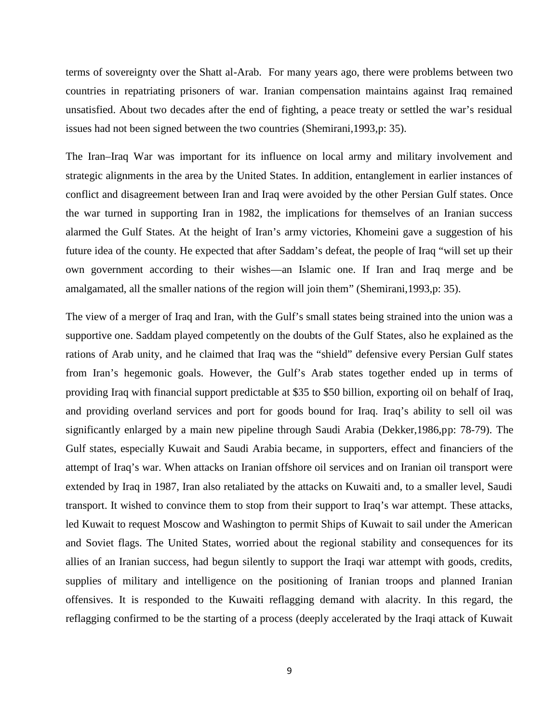terms of sovereignty over the Shatt al-Arab. For many years ago, there were problems between two countries in repatriating prisoners of war. Iranian compensation maintains against Iraq remained unsatisfied. About two decades after the end of fighting, a peace treaty or settled the war's residual issues had not been signed between the two countries (Shemirani,1993,p: 35).

The Iran–Iraq War was important for its influence on local army and military involvement and strategic alignments in the area by the United States. In addition, entanglement in earlier instances of conflict and disagreement between Iran and Iraq were avoided by the other Persian Gulf states. Once the war turned in supporting Iran in 1982, the implications for themselves of an Iranian success alarmed the Gulf States. At the height of Iran's army victories, Khomeini gave a suggestion of his future idea of the county. He expected that after Saddam's defeat, the people of Iraq "will set up their own government according to their wishes—an Islamic one. If Iran and Iraq merge and be amalgamated, all the smaller nations of the region will join them" (Shemirani,1993,p: 35).

The view of a merger of Iraq and Iran, with the Gulf's small states being strained into the union was a supportive one. Saddam played competently on the doubts of the Gulf States, also he explained as the rations of Arab unity, and he claimed that Iraq was the "shield" defensive every Persian Gulf states from Iran's hegemonic goals. However, the Gulf's Arab states together ended up in terms of providing Iraq with financial support predictable at \$35 to \$50 billion, exporting oil on behalf of Iraq, and providing overland services and port for goods bound for Iraq. Iraq's ability to sell oil was significantly enlarged by a main new pipeline through Saudi Arabia (Dekker,1986,pp: 78-79). The Gulf states, especially Kuwait and Saudi Arabia became, in supporters, effect and financiers of the attempt of Iraq's war. When attacks on Iranian offshore oil services and on Iranian oil transport were extended by Iraq in 1987, Iran also retaliated by the attacks on Kuwaiti and, to a smaller level, Saudi transport. It wished to convince them to stop from their support to Iraq's war attempt. These attacks, led Kuwait to request Moscow and Washington to permit Ships of Kuwait to sail under the American and Soviet flags. The United States, worried about the regional stability and consequences for its allies of an Iranian success, had begun silently to support the Iraqi war attempt with goods, credits, supplies of military and intelligence on the positioning of Iranian troops and planned Iranian offensives. It is responded to the Kuwaiti reflagging demand with alacrity. In this regard, the reflagging confirmed to be the starting of a process (deeply accelerated by the Iraqi attack of Kuwait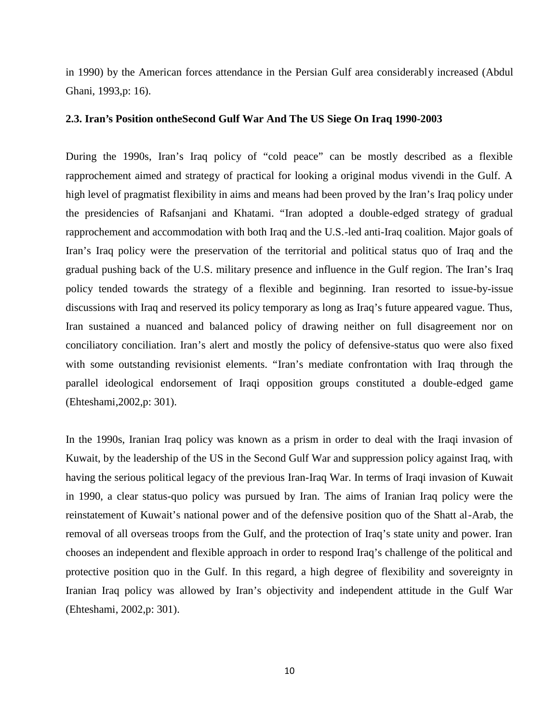in 1990) by the American forces attendance in the Persian Gulf area considerably increased (Abdul Ghani, 1993,p: 16).

#### **2.3. Iran's Position ontheSecond Gulf War And The US Siege On Iraq 1990-2003**

During the 1990s, Iran's Iraq policy of "cold peace" can be mostly described as a flexible rapprochement aimed and strategy of practical for looking a original modus vivendi in the Gulf. A high level of pragmatist flexibility in aims and means had been proved by the Iran's Iraq policy under the presidencies of Rafsanjani and Khatami. "Iran adopted a double-edged strategy of gradual rapprochement and accommodation with both Iraq and the U.S.-led anti-Iraq coalition. Major goals of Iran's Iraq policy were the preservation of the territorial and political status quo of Iraq and the gradual pushing back of the U.S. military presence and influence in the Gulf region. The Iran's Iraq policy tended towards the strategy of a flexible and beginning. Iran resorted to issue-by-issue discussions with Iraq and reserved its policy temporary as long as Iraq's future appeared vague. Thus, Iran sustained a nuanced and balanced policy of drawing neither on full disagreement nor on conciliatory conciliation. Iran's alert and mostly the policy of defensive-status quo were also fixed with some outstanding revisionist elements. "Iran's mediate confrontation with Iraq through the parallel ideological endorsement of Iraqi opposition groups constituted a double-edged game (Ehteshami,2002,p: 301).

In the 1990s, Iranian Iraq policy was known as a prism in order to deal with the Iraqi invasion of Kuwait, by the leadership of the US in the Second Gulf War and suppression policy against Iraq, with having the serious political legacy of the previous Iran-Iraq War. In terms of Iraqi invasion of Kuwait in 1990, a clear status-quo policy was pursued by Iran. The aims of Iranian Iraq policy were the reinstatement of Kuwait's national power and of the defensive position quo of the Shatt al-Arab, the removal of all overseas troops from the Gulf, and the protection of Iraq's state unity and power. Iran chooses an independent and flexible approach in order to respond Iraq's challenge of the political and protective position quo in the Gulf. In this regard, a high degree of flexibility and sovereignty in Iranian Iraq policy was allowed by Iran's objectivity and independent attitude in the Gulf War (Ehteshami, 2002,p: 301).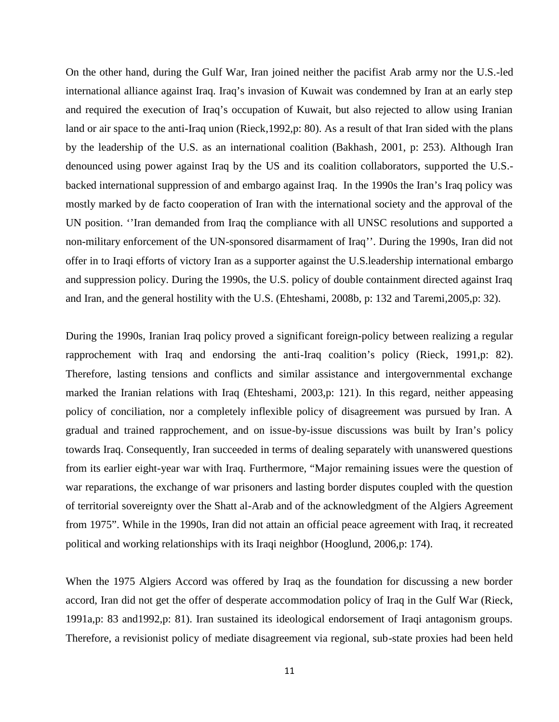On the other hand, during the Gulf War, Iran joined neither the pacifist Arab army nor the U.S.-led international alliance against Iraq. Iraq's invasion of Kuwait was condemned by Iran at an early step and required the execution of Iraq's occupation of Kuwait, but also rejected to allow using Iranian land or air space to the anti-Iraq union (Rieck,1992,p: 80). As a result of that Iran sided with the plans by the leadership of the U.S. as an international coalition (Bakhash, 2001, p: 253). Although Iran denounced using power against Iraq by the US and its coalition collaborators, supported the U.S. backed international suppression of and embargo against Iraq. In the 1990s the Iran's Iraq policy was mostly marked by de facto cooperation of Iran with the international society and the approval of the UN position. ''Iran demanded from Iraq the compliance with all UNSC resolutions and supported a non-military enforcement of the UN-sponsored disarmament of Iraq''. During the 1990s, Iran did not offer in to Iraqi efforts of victory Iran as a supporter against the U.S.leadership international embargo and suppression policy. During the 1990s, the U.S. policy of double containment directed against Iraq and Iran, and the general hostility with the U.S. (Ehteshami, 2008b, p: 132 and Taremi,2005,p: 32).

During the 1990s, Iranian Iraq policy proved a significant foreign-policy between realizing a regular rapprochement with Iraq and endorsing the anti-Iraq coalition's policy (Rieck, 1991,p: 82). Therefore, lasting tensions and conflicts and similar assistance and intergovernmental exchange marked the Iranian relations with Iraq (Ehteshami, 2003,p: 121). In this regard, neither appeasing policy of conciliation, nor a completely inflexible policy of disagreement was pursued by Iran. A gradual and trained rapprochement, and on issue-by-issue discussions was built by Iran's policy towards Iraq. Consequently, Iran succeeded in terms of dealing separately with unanswered questions from its earlier eight-year war with Iraq. Furthermore, "Major remaining issues were the question of war reparations, the exchange of war prisoners and lasting border disputes coupled with the question of territorial sovereignty over the Shatt al-Arab and of the acknowledgment of the Algiers Agreement from 1975". While in the 1990s, Iran did not attain an official peace agreement with Iraq, it recreated political and working relationships with its Iraqi neighbor (Hooglund, 2006,p: 174).

When the 1975 Algiers Accord was offered by Iraq as the foundation for discussing a new border accord, Iran did not get the offer of desperate accommodation policy of Iraq in the Gulf War (Rieck, 1991a,p: 83 and1992,p: 81). Iran sustained its ideological endorsement of Iraqi antagonism groups. Therefore, a revisionist policy of mediate disagreement via regional, sub-state proxies had been held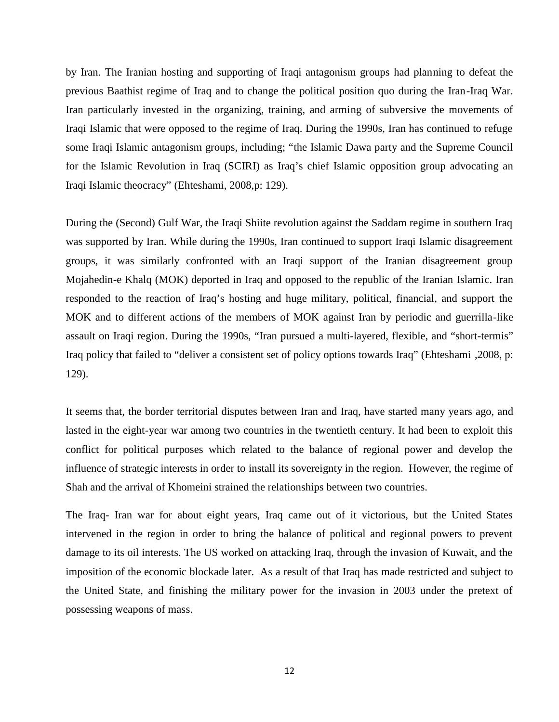by Iran. The Iranian hosting and supporting of Iraqi antagonism groups had planning to defeat the previous Baathist regime of Iraq and to change the political position quo during the Iran-Iraq War. Iran particularly invested in the organizing, training, and arming of subversive the movements of Iraqi Islamic that were opposed to the regime of Iraq. During the 1990s, Iran has continued to refuge some Iraqi Islamic antagonism groups, including; "the Islamic Dawa party and the Supreme Council for the Islamic Revolution in Iraq (SCIRI) as Iraq's chief Islamic opposition group advocating an Iraqi Islamic theocracy" (Ehteshami, 2008,p: 129).

During the (Second) Gulf War, the Iraqi Shiite revolution against the Saddam regime in southern Iraq was supported by Iran. While during the 1990s, Iran continued to support Iraqi Islamic disagreement groups, it was similarly confronted with an Iraqi support of the Iranian disagreement group Mojahedin-e Khalq (MOK) deported in Iraq and opposed to the republic of the Iranian Islamic. Iran responded to the reaction of Iraq's hosting and huge military, political, financial, and support the MOK and to different actions of the members of MOK against Iran by periodic and guerrilla-like assault on Iraqi region. During the 1990s, "Iran pursued a multi-layered, flexible, and "short-termis" Iraq policy that failed to "deliver a consistent set of policy options towards Iraq" (Ehteshami ,2008, p: 129).

It seems that, the border territorial disputes between Iran and Iraq, have started many years ago, and lasted in the eight-year war among two countries in the twentieth century. It had been to exploit this conflict for political purposes which related to the balance of regional power and develop the influence of strategic interests in order to install its sovereignty in the region. However, the regime of Shah and the arrival of Khomeini strained the relationships between two countries.

The Iraq- Iran war for about eight years, Iraq came out of it victorious, but the United States intervened in the region in order to bring the balance of political and regional powers to prevent damage to its oil interests. The US worked on attacking Iraq, through the invasion of Kuwait, and the imposition of the economic blockade later. As a result of that Iraq has made restricted and subject to the United State, and finishing the military power for the invasion in 2003 under the pretext of possessing weapons of mass.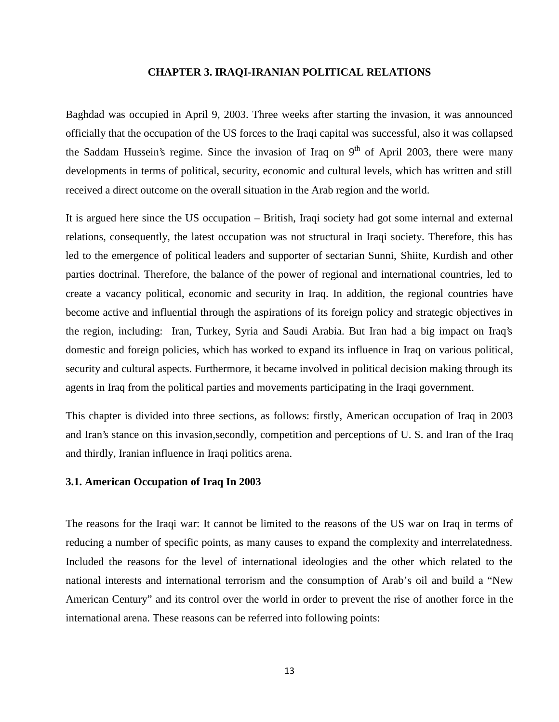#### **CHAPTER 3. IRAQI-IRANIAN POLITICAL RELATIONS**

Baghdad was occupied in April 9, 2003. Three weeks after starting the invasion, it was announced officially that the occupation of the US forces to the Iraqi capital was successful, also it was collapsed the Saddam Hussein's regime. Since the invasion of Iraq on  $9<sup>th</sup>$  of April 2003, there were many developments in terms of political, security, economic and cultural levels, which has written and still received a direct outcome on the overall situation in the Arab region and the world.

It is argued here since the US occupation – British, Iraqi society had got some internal and external relations, consequently, the latest occupation was not structural in Iraqi society. Therefore, this has led to the emergence of political leaders and supporter of sectarian Sunni, Shiite, Kurdish and other parties doctrinal. Therefore, the balance of the power of regional and international countries, led to create a vacancy political, economic and security in Iraq. In addition, the regional countries have become active and influential through the aspirations of its foreign policy and strategic objectives in the region, including: Iran, Turkey, Syria and Saudi Arabia. But Iran had a big impact on Iraq's domestic and foreign policies, which has worked to expand its influence in Iraq on various political, security and cultural aspects. Furthermore, it became involved in political decision making through its agents in Iraq from the political parties and movements participating in the Iraqi government.

This chapter is divided into three sections, as follows: firstly, American occupation of Iraq in 2003 and Iran's stance on this invasion,secondly, competition and perceptions of U. S. and Iran of the Iraq and thirdly, Iranian influence in Iraqi politics arena.

#### **3.1. American Occupation of Iraq In 2003**

The reasons for the Iraqi war: It cannot be limited to the reasons of the US war on Iraq in terms of reducing a number of specific points, as many causes to expand the complexity and interrelatedness. Included the reasons for the level of international ideologies and the other which related to the national interests and international terrorism and the consumption of Arab's oil and build a "New American Century" and its control over the world in order to prevent the rise of another force in the international arena. These reasons can be referred into following points: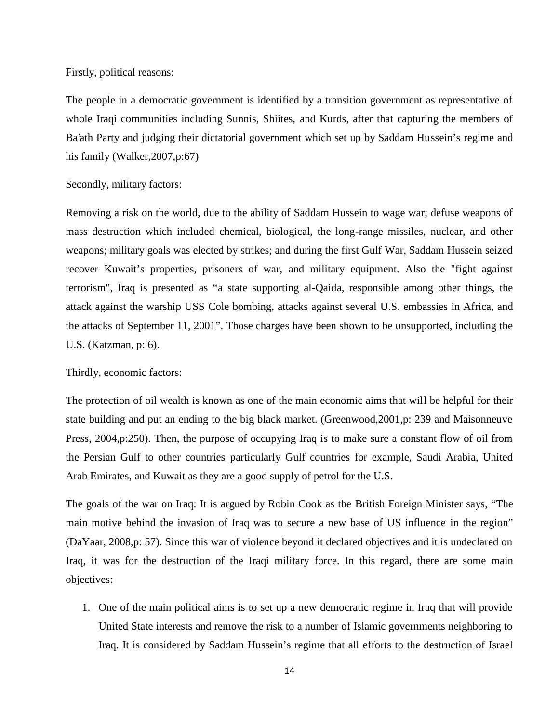Firstly, political reasons:

The people in a democratic government is identified by a transition government as representative of whole Iraqi communities including Sunnis, Shiites, and Kurds, after that capturing the members of Ba'ath Party and judging their dictatorial government which set up by Saddam Hussein's regime and his family (Walker,2007,p:67)

Secondly, military factors:

Removing a risk on the world, due to the ability of Saddam Hussein to wage war; defuse weapons of mass destruction which included chemical, biological, the long-range missiles, nuclear, and other weapons; military goals was elected by strikes; and during the first Gulf War, Saddam Hussein seized recover Kuwait's properties, prisoners of war, and military equipment. Also the "fight against terrorism", Iraq is presented as "a state supporting al-Qaida, responsible among other things, the attack against the warship USS Cole bombing, attacks against several U.S. embassies in Africa, and the attacks of September 11, 2001". Those charges have been shown to be unsupported, including the U.S. (Katzman, p: 6).

Thirdly, economic factors:

The protection of oil wealth is known as one of the main economic aims that will be helpful for their state building and put an ending to the big black market. (Greenwood,2001,p: 239 and Maisonneuve Press, 2004,p:250). Then, the purpose of occupying Iraq is to make sure a constant flow of oil from the Persian Gulf to other countries particularly Gulf countries for example, Saudi Arabia, United Arab Emirates, and Kuwait as they are a good supply of petrol for the U.S.

The goals of the war on Iraq: It is argued by Robin Cook as the British Foreign Minister says, "The main motive behind the invasion of Iraq was to secure a new base of US influence in the region" (DaYaar, 2008,p: 57). Since this war of violence beyond it declared objectives and it is undeclared on Iraq, it was for the destruction of the Iraqi military force. In this regard, there are some main objectives:

1. One of the main political aims is to set up a new democratic regime in Iraq that will provide United State interests and remove the risk to a number of Islamic governments neighboring to Iraq. It is considered by Saddam Hussein's regime that all efforts to the destruction of Israel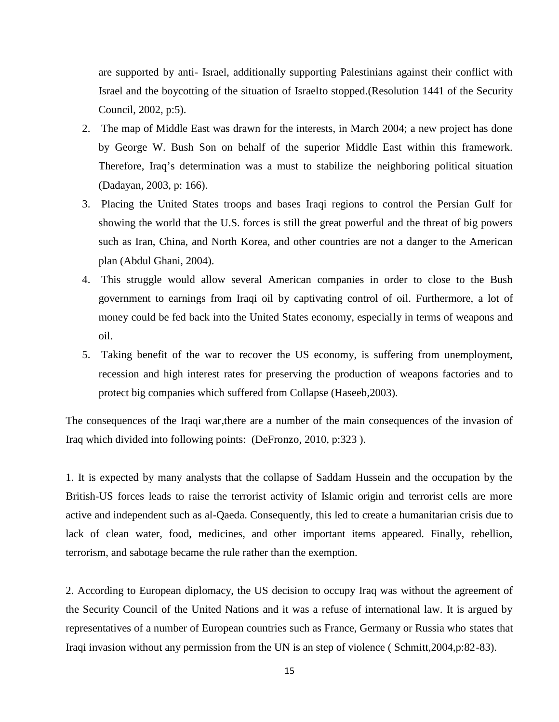are supported by anti- Israel, additionally supporting Palestinians against their conflict with Israel and the boycotting of the situation of Israelto stopped.(Resolution 1441 of the Security Council, 2002, p:5).

- 2. The map of Middle East was drawn for the interests, in March 2004; a new project has done by George W. Bush Son on behalf of the superior Middle East within this framework. Therefore, Iraq's determination was a must to stabilize the neighboring political situation (Dadayan, 2003, p: 166).
- 3. Placing the United States troops and bases Iraqi regions to control the Persian Gulf for showing the world that the U.S. forces is still the great powerful and the threat of big powers such as Iran, China, and North Korea, and other countries are not a danger to the American plan (Abdul Ghani, 2004).
- 4. This struggle would allow several American companies in order to close to the Bush government to earnings from Iraqi oil by captivating control of oil. Furthermore, a lot of money could be fed back into the United States economy, especially in terms of weapons and oil.
- 5. Taking benefit of the war to recover the US economy, is suffering from unemployment, recession and high interest rates for preserving the production of weapons factories and to protect big companies which suffered from Collapse (Haseeb,2003).

The consequences of the Iraqi war,there are a number of the main consequences of the invasion of Iraq which divided into following points: (DeFronzo, 2010, p:323 ).

1. It is expected by many analysts that the collapse of Saddam Hussein and the occupation by the British-US forces leads to raise the terrorist activity of Islamic origin and terrorist cells are more active and independent such as al-Qaeda. Consequently, this led to create a humanitarian crisis due to lack of clean water, food, medicines, and other important items appeared. Finally, rebellion, terrorism, and sabotage became the rule rather than the exemption.

2. According to European diplomacy, the US decision to occupy Iraq was without the agreement of the Security Council of the United Nations and it was a refuse of international law. It is argued by representatives of a number of European countries such as France, Germany or Russia who states that Iraqi invasion without any permission from the UN is an step of violence ( Schmitt,2004,p:82-83).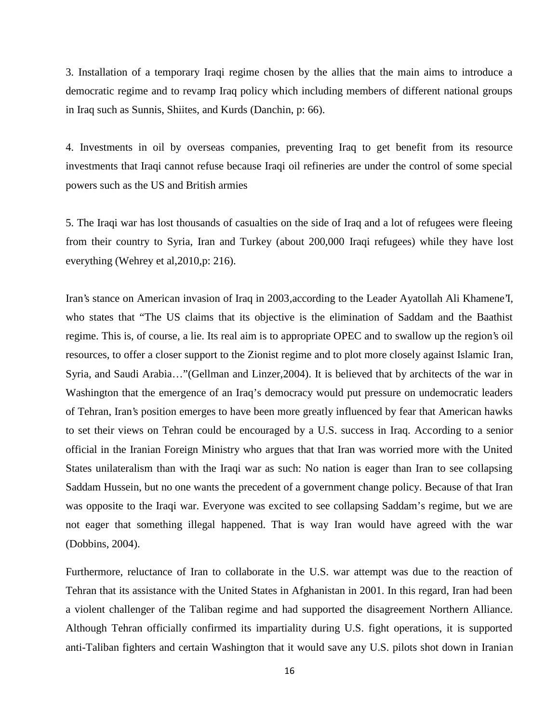3. Installation of a temporary Iraqi regime chosen by the allies that the main aims to introduce a democratic regime and to revamp Iraq policy which including members of different national groups in Iraq such as Sunnis, Shiites, and Kurds (Danchin, p: 66).

4. Investments in oil by overseas companies, preventing Iraq to get benefit from its resource investments that Iraqi cannot refuse because Iraqi oil refineries are under the control of some special powers such as the US and British armies

5. The Iraqi war has lost thousands of casualties on the side of Iraq and a lot of refugees were fleeing from their country to Syria, Iran and Turkey (about 200,000 Iraqi refugees) while they have lost everything (Wehrey et al,2010,p: 216).

Iran's stance on American invasion of Iraq in 2003,according to the Leader Ayatollah Ali Khamene'I, who states that "The US claims that its objective is the elimination of Saddam and the Baathist regime. This is, of course, a lie. Its real aim is to appropriate OPEC and to swallow up the region's oil resources, to offer a closer support to the Zionist regime and to plot more closely against Islamic Iran, Syria, and Saudi Arabia…"(Gellman and Linzer,2004). It is believed that by architects of the war in Washington that the emergence of an Iraq's democracy would put pressure on undemocratic leaders of Tehran, Iran's position emerges to have been more greatly influenced by fear that American hawks to set their views on Tehran could be encouraged by a U.S. success in Iraq. According to a senior official in the Iranian Foreign Ministry who argues that that Iran was worried more with the United States unilateralism than with the Iraqi war as such: No nation is eager than Iran to see collapsing Saddam Hussein, but no one wants the precedent of a government change policy. Because of that Iran was opposite to the Iraqi war. Everyone was excited to see collapsing Saddam's regime, but we are not eager that something illegal happened. That is way Iran would have agreed with the war (Dobbins, 2004).

Furthermore, reluctance of Iran to collaborate in the U.S. war attempt was due to the reaction of Tehran that its assistance with the United States in Afghanistan in 2001. In this regard, Iran had been a violent challenger of the Taliban regime and had supported the disagreement Northern Alliance. Although Tehran officially confirmed its impartiality during U.S. fight operations, it is supported anti-Taliban fighters and certain Washington that it would save any U.S. pilots shot down in Iranian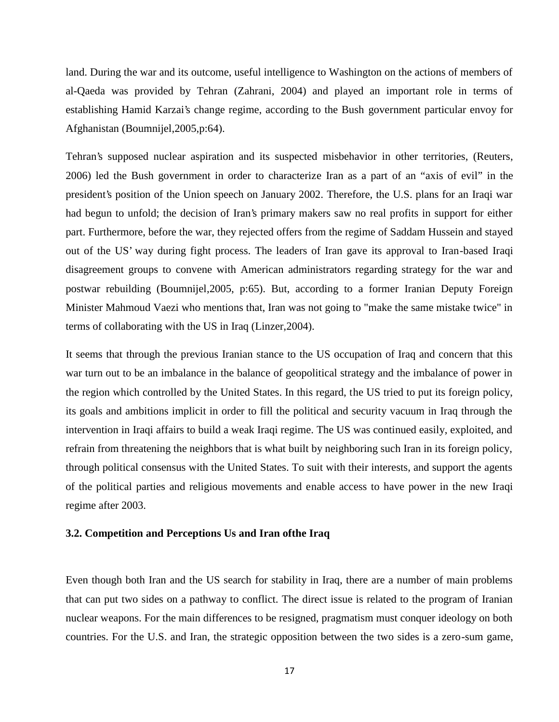land. During the war and its outcome, useful intelligence to Washington on the actions of members of al-Qaeda was provided by Tehran (Zahrani, 2004) and played an important role in terms of establishing Hamid Karzai's change regime, according to the Bush government particular envoy for Afghanistan (Boumnijel,2005,p:64).

Tehran's supposed nuclear aspiration and its suspected misbehavior in other territories, (Reuters, 2006) led the Bush government in order to characterize Iran as a part of an "axis of evil" in the president's position of the Union speech on January 2002. Therefore, the U.S. plans for an Iraqi war had begun to unfold; the decision of Iran's primary makers saw no real profits in support for either part. Furthermore, before the war, they rejected offers from the regime of Saddam Hussein and stayed out of the US' way during fight process. The leaders of Iran gave its approval to Iran-based Iraqi disagreement groups to convene with American administrators regarding strategy for the war and postwar rebuilding (Boumnijel,2005, p:65). But, according to a former Iranian Deputy Foreign Minister Mahmoud Vaezi who mentions that, Iran was not going to "make the same mistake twice" in terms of collaborating with the US in Iraq (Linzer,2004).

It seems that through the previous Iranian stance to the US occupation of Iraq and concern that this war turn out to be an imbalance in the balance of geopolitical strategy and the imbalance of power in the region which controlled by the United States. In this regard, the US tried to put its foreign policy, its goals and ambitions implicit in order to fill the political and security vacuum in Iraq through the intervention in Iraqi affairs to build a weak Iraqi regime. The US was continued easily, exploited, and refrain from threatening the neighbors that is what built by neighboring such Iran in its foreign policy, through political consensus with the United States. To suit with their interests, and support the agents of the political parties and religious movements and enable access to have power in the new Iraqi regime after 2003.

#### **3.2. Competition and Perceptions Us and Iran ofthe Iraq**

Even though both Iran and the US search for stability in Iraq, there are a number of main problems that can put two sides on a pathway to conflict. The direct issue is related to the program of Iranian nuclear weapons. For the main differences to be resigned, pragmatism must conquer ideology on both countries. For the U.S. and Iran, the strategic opposition between the two sides is a zero-sum game,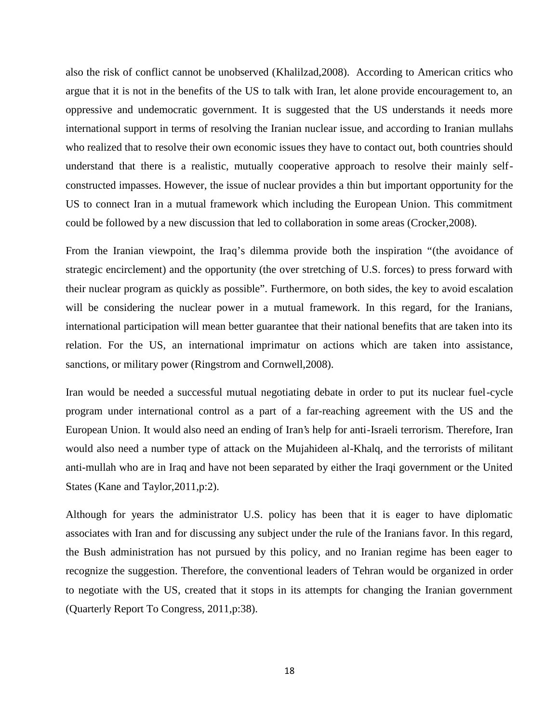also the risk of conflict cannot be unobserved (Khalilzad,2008). According to American critics who argue that it is not in the benefits of the US to talk with Iran, let alone provide encouragement to, an oppressive and undemocratic government. It is suggested that the US understands it needs more international support in terms of resolving the Iranian nuclear issue, and according to Iranian mullahs who realized that to resolve their own economic issues they have to contact out, both countries should understand that there is a realistic, mutually cooperative approach to resolve their mainly self constructed impasses. However, the issue of nuclear provides a thin but important opportunity for the US to connect Iran in a mutual framework which including the European Union. This commitment could be followed by a new discussion that led to collaboration in some areas (Crocker,2008).

From the Iranian viewpoint, the Iraq's dilemma provide both the inspiration "(the avoidance of strategic encirclement) and the opportunity (the over stretching of U.S. forces) to press forward with their nuclear program as quickly as possible". Furthermore, on both sides, the key to avoid escalation will be considering the nuclear power in a mutual framework. In this regard, for the Iranians, international participation will mean better guarantee that their national benefits that are taken into its relation. For the US, an international imprimatur on actions which are taken into assistance, sanctions, or military power (Ringstrom and Cornwell,2008).

Iran would be needed a successful mutual negotiating debate in order to put its nuclear fuel-cycle program under international control as a part of a far-reaching agreement with the US and the European Union. It would also need an ending of Iran's help for anti-Israeli terrorism. Therefore, Iran would also need a number type of attack on the Mujahideen al-Khalq, and the terrorists of militant anti-mullah who are in Iraq and have not been separated by either the Iraqi government or the United States (Kane and Taylor,2011,p:2).

Although for years the administrator U.S. policy has been that it is eager to have diplomatic associates with Iran and for discussing any subject under the rule of the Iranians favor. In this regard, the Bush administration has not pursued by this policy, and no Iranian regime has been eager to recognize the suggestion. Therefore, the conventional leaders of Tehran would be organized in order to negotiate with the US, created that it stops in its attempts for changing the Iranian government (Quarterly Report To Congress, 2011,p:38).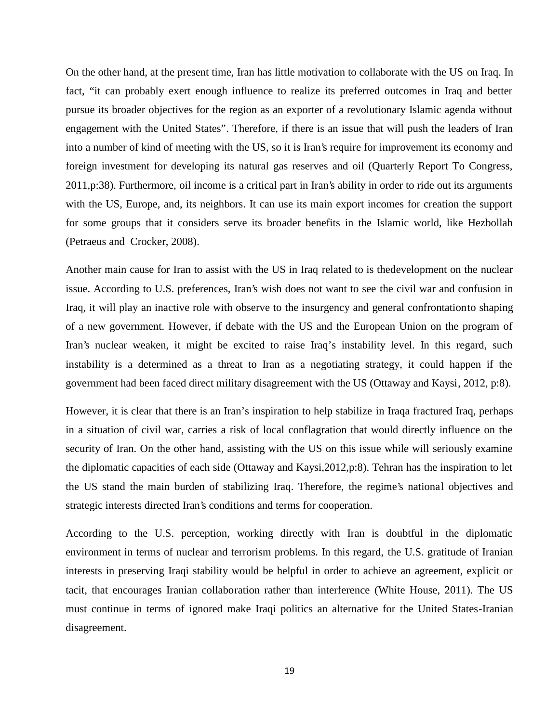On the other hand, at the present time, Iran has little motivation to collaborate with the US on Iraq. In fact, "it can probably exert enough influence to realize its preferred outcomes in Iraq and better pursue its broader objectives for the region as an exporter of a revolutionary Islamic agenda without engagement with the United States". Therefore, if there is an issue that will push the leaders of Iran into a number of kind of meeting with the US, so it is Iran's require for improvement its economy and foreign investment for developing its natural gas reserves and oil (Quarterly Report To Congress, 2011,p:38). Furthermore, oil income is a critical part in Iran's ability in order to ride out its arguments with the US, Europe, and, its neighbors. It can use its main export incomes for creation the support for some groups that it considers serve its broader benefits in the Islamic world, like Hezbollah (Petraeus and Crocker, 2008).

Another main cause for Iran to assist with the US in Iraq related to is thedevelopment on the nuclear issue. According to U.S. preferences, Iran's wish does not want to see the civil war and confusion in Iraq, it will play an inactive role with observe to the insurgency and general confrontationto shaping of a new government. However, if debate with the US and the European Union on the program of Iran's nuclear weaken, it might be excited to raise Iraq's instability level. In this regard, such instability is a determined as a threat to Iran as a negotiating strategy, it could happen if the government had been faced direct military disagreement with the US (Ottaway and Kaysi, 2012, p:8).

However, it is clear that there is an Iran's inspiration to help stabilize in Iraqa fractured Iraq, perhaps in a situation of civil war, carries a risk of local conflagration that would directly influence on the security of Iran. On the other hand, assisting with the US on this issue while will seriously examine the diplomatic capacities of each side (Ottaway and Kaysi,2012,p:8). Tehran has the inspiration to let the US stand the main burden of stabilizing Iraq. Therefore, the regime's national objectives and strategic interests directed Iran's conditions and terms for cooperation.

According to the U.S. perception, working directly with Iran is doubtful in the diplomatic environment in terms of nuclear and terrorism problems. In this regard, the U.S. gratitude of Iranian interests in preserving Iraqi stability would be helpful in order to achieve an agreement, explicit or tacit, that encourages Iranian collaboration rather than interference (White House, 2011). The US must continue in terms of ignored make Iraqi politics an alternative for the United States-Iranian disagreement.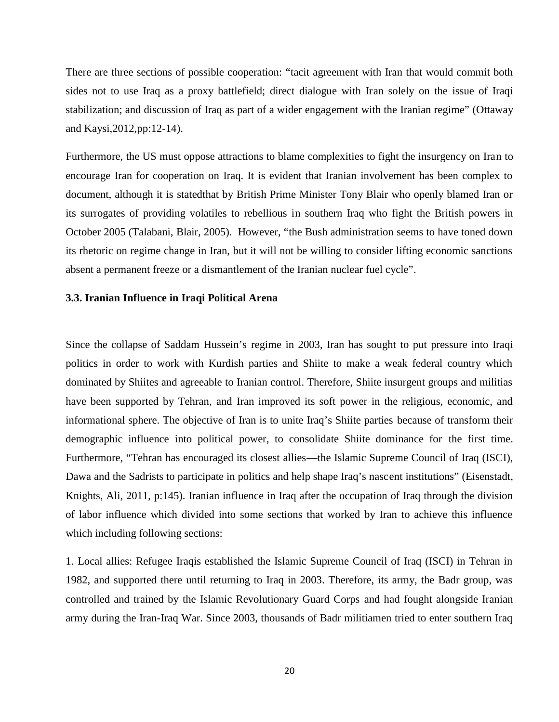There are three sections of possible cooperation: "tacit agreement with Iran that would commit both sides not to use Iraq as a proxy battlefield; direct dialogue with Iran solely on the issue of Iraqi stabilization; and discussion of Iraq as part of a wider engagement with the Iranian regime" (Ottaway and Kaysi,2012,pp:12-14).

Furthermore, the US must oppose attractions to blame complexities to fight the insurgency on Iran to encourage Iran for cooperation on Iraq. It is evident that Iranian involvement has been complex to document, although it is statedthat by British Prime Minister Tony Blair who openly blamed Iran or its surrogates of providing volatiles to rebellious in southern Iraq who fight the British powers in October 2005 (Talabani, Blair, 2005). However, "the Bush administration seems to have toned down its rhetoric on regime change in Iran, but it will not be willing to consider lifting economic sanctions absent a permanent freeze or a dismantlement of the Iranian nuclear fuel cycle".

#### **3.3. Iranian Influence in Iraqi Political Arena**

Since the collapse of Saddam Hussein's regime in 2003, Iran has sought to put pressure into Iraqi politics in order to work with Kurdish parties and Shiite to make a weak federal country which dominated by Shiites and agreeable to Iranian control. Therefore, Shiite insurgent groups and militias have been supported by Tehran, and Iran improved its soft power in the religious, economic, and informational sphere. The objective of Iran is to unite Iraq's Shiite parties because of transform their demographic influence into political power, to consolidate Shiite dominance for the first time. Furthermore, "Tehran has encouraged its closest allies—the Islamic Supreme Council of Iraq (ISCI), Dawa and the Sadrists to participate in politics and help shape Iraq's nascent institutions" (Eisenstadt, Knights, Ali, 2011, p:145). Iranian influence in Iraq after the occupation of Iraq through the division of labor influence which divided into some sections that worked by Iran to achieve this influence which including following sections:

1. Local allies: Refugee Iraqis established the Islamic Supreme Council of Iraq (ISCI) in Tehran in 1982, and supported there until returning to Iraq in 2003. Therefore, its army, the Badr group, was controlled and trained by the Islamic Revolutionary Guard Corps and had fought alongside Iranian army during the Iran-Iraq War. Since 2003, thousands of Badr militiamen tried to enter southern Iraq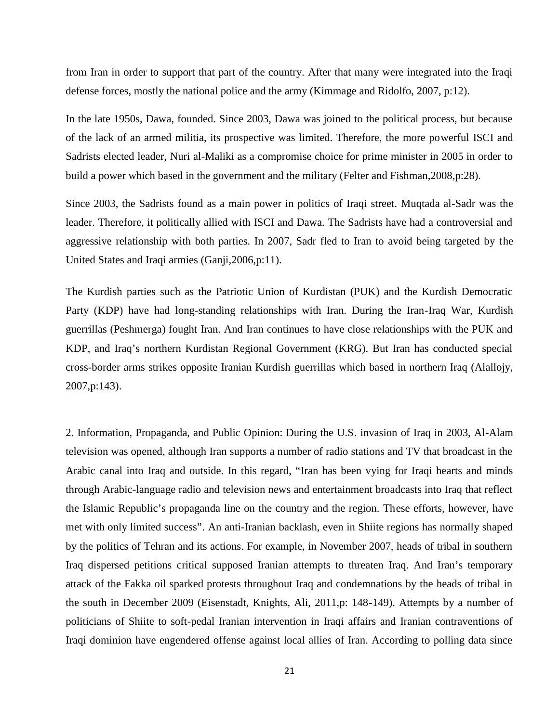from Iran in order to support that part of the country. After that many were integrated into the Iraqi defense forces, mostly the national police and the army (Kimmage and Ridolfo, 2007, p:12).

In the late 1950s, Dawa, founded. Since 2003, Dawa was joined to the political process, but because of the lack of an armed militia, its prospective was limited. Therefore, the more powerful ISCI and Sadrists elected leader, Nuri al-Maliki as a compromise choice for prime minister in 2005 in order to build a power which based in the government and the military (Felter and Fishman,2008,p:28).

Since 2003, the Sadrists found as a main power in politics of Iraqi street. Muqtada al-Sadr was the leader. Therefore, it politically allied with ISCI and Dawa. The Sadrists have had a controversial and aggressive relationship with both parties. In 2007, Sadr fled to Iran to avoid being targeted by the United States and Iraqi armies (Ganji,2006,p:11).

The Kurdish parties such as the Patriotic Union of Kurdistan (PUK) and the Kurdish Democratic Party (KDP) have had long-standing relationships with Iran. During the Iran-Iraq War, Kurdish guerrillas (Peshmerga) fought Iran. And Iran continues to have close relationships with the PUK and KDP, and Iraq's northern Kurdistan Regional Government (KRG). But Iran has conducted special cross-border arms strikes opposite Iranian Kurdish guerrillas which based in northern Iraq (Alallojy, 2007,p:143).

2. Information, Propaganda, and Public Opinion: During the U.S. invasion of Iraq in 2003, Al-Alam television was opened, although Iran supports a number of radio stations and TV that broadcast in the Arabic canal into Iraq and outside. In this regard, "Iran has been vying for Iraqi hearts and minds through Arabic-language radio and television news and entertainment broadcasts into Iraq that reflect the Islamic Republic's propaganda line on the country and the region. These efforts, however, have met with only limited success". An anti-Iranian backlash, even in Shiite regions has normally shaped by the politics of Tehran and its actions. For example, in November 2007, heads of tribal in southern Iraq dispersed petitions critical supposed Iranian attempts to threaten Iraq. And Iran's temporary attack of the Fakka oil sparked protests throughout Iraq and condemnations by the heads of tribal in the south in December 2009 (Eisenstadt, Knights, Ali, 2011,p: 148-149). Attempts by a number of politicians of Shiite to soft-pedal Iranian intervention in Iraqi affairs and Iranian contraventions of Iraqi dominion have engendered offense against local allies of Iran. According to polling data since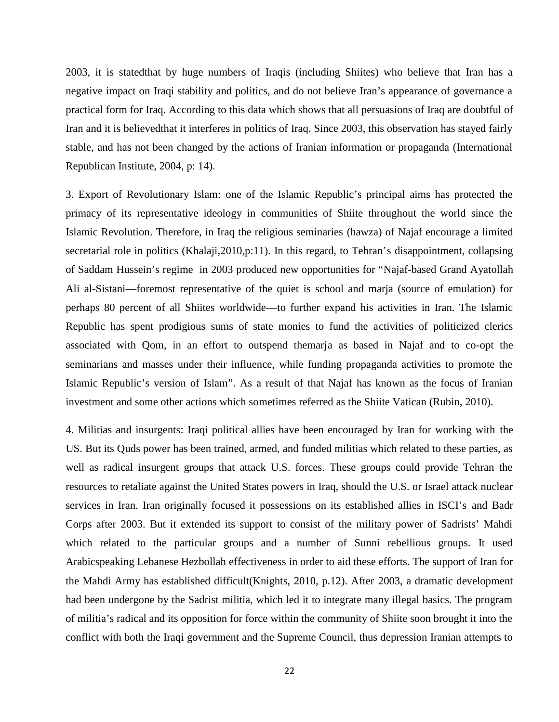2003, it is statedthat by huge numbers of Iraqis (including Shiites) who believe that Iran has a negative impact on Iraqi stability and politics, and do not believe Iran's appearance of governance a practical form for Iraq. According to this data which shows that all persuasions of Iraq are doubtful of Iran and it is believedthat it interferes in politics of Iraq. Since 2003, this observation has stayed fairly stable, and has not been changed by the actions of Iranian information or propaganda (International Republican Institute, 2004, p: 14).

3. Export of Revolutionary Islam: one of the Islamic Republic's principal aims has protected the primacy of its representative ideology in communities of Shiite throughout the world since the Islamic Revolution. Therefore, in Iraq the religious seminaries (hawza) of Najaf encourage a limited secretarial role in politics (Khalaji, 2010, p:11). In this regard, to Tehran's disappointment, collapsing of Saddam Hussein's regime in 2003 produced new opportunities for "Najaf-based Grand Ayatollah Ali al-Sistani—foremost representative of the quiet is school and marja (source of emulation) for perhaps 80 percent of all Shiites worldwide—to further expand his activities in Iran. The Islamic Republic has spent prodigious sums of state monies to fund the activities of politicized clerics associated with Qom, in an effort to outspend themarja as based in Najaf and to co-opt the seminarians and masses under their influence, while funding propaganda activities to promote the Islamic Republic's version of Islam". As a result of that Najaf has known as the focus of Iranian investment and some other actions which sometimes referred as the Shiite Vatican (Rubin, 2010).

4. Militias and insurgents: Iraqi political allies have been encouraged by Iran for working with the US. But its Quds power has been trained, armed, and funded militias which related to these parties, as well as radical insurgent groups that attack U.S. forces. These groups could provide Tehran the resources to retaliate against the United States powers in Iraq, should the U.S. or Israel attack nuclear services in Iran. Iran originally focused it possessions on its established allies in ISCI's and Badr Corps after 2003. But it extended its support to consist of the military power of Sadrists' Mahdi which related to the particular groups and a number of Sunni rebellious groups. It used Arabicspeaking Lebanese Hezbollah effectiveness in order to aid these efforts. The support of Iran for the Mahdi Army has established difficult(Knights, 2010, p.12). After 2003, a dramatic development had been undergone by the Sadrist militia, which led it to integrate many illegal basics. The program of militia's radical and its opposition for force within the community of Shiite soon brought it into the conflict with both the Iraqi government and the Supreme Council, thus depression Iranian attempts to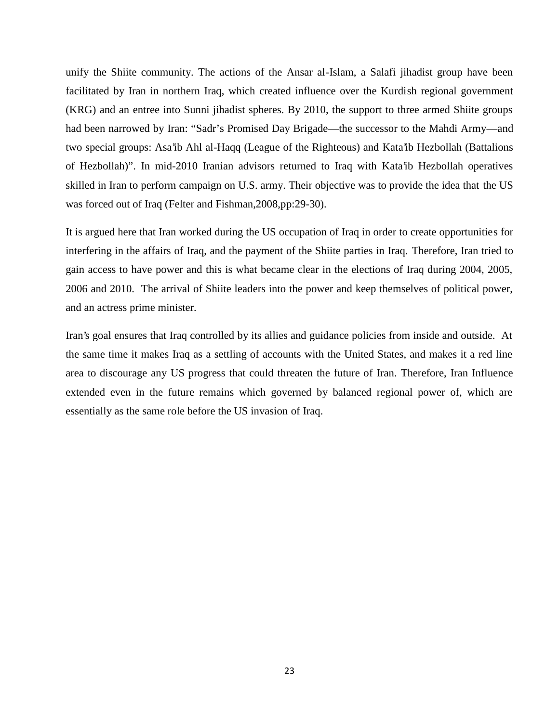unify the Shiite community. The actions of the Ansar al-Islam, a Salafi jihadist group have been facilitated by Iran in northern Iraq, which created influence over the Kurdish regional government (KRG) and an entree into Sunni jihadist spheres. By 2010, the support to three armed Shiite groups had been narrowed by Iran: "Sadr's Promised Day Brigade—the successor to the Mahdi Army—and two special groups: Asa'ib Ahl al-Haqq (League of the Righteous) and Kata'ib Hezbollah (Battalions of Hezbollah)". In mid-2010 Iranian advisors returned to Iraq with Kata'ib Hezbollah operatives skilled in Iran to perform campaign on U.S. army. Their objective was to provide the idea that the US was forced out of Iraq (Felter and Fishman,2008,pp:29-30).

It is argued here that Iran worked during the US occupation of Iraq in order to create opportunities for interfering in the affairs of Iraq, and the payment of the Shiite parties in Iraq. Therefore, Iran tried to gain access to have power and this is what became clear in the elections of Iraq during 2004, 2005, 2006 and 2010. The arrival of Shiite leaders into the power and keep themselves of political power, and an actress prime minister.

Iran's goal ensures that Iraq controlled by its allies and guidance policies from inside and outside. At the same time it makes Iraq as a settling of accounts with the United States, and makes it a red line area to discourage any US progress that could threaten the future of Iran. Therefore, Iran Influence extended even in the future remains which governed by balanced regional power of, which are essentially as the same role before the US invasion of Iraq.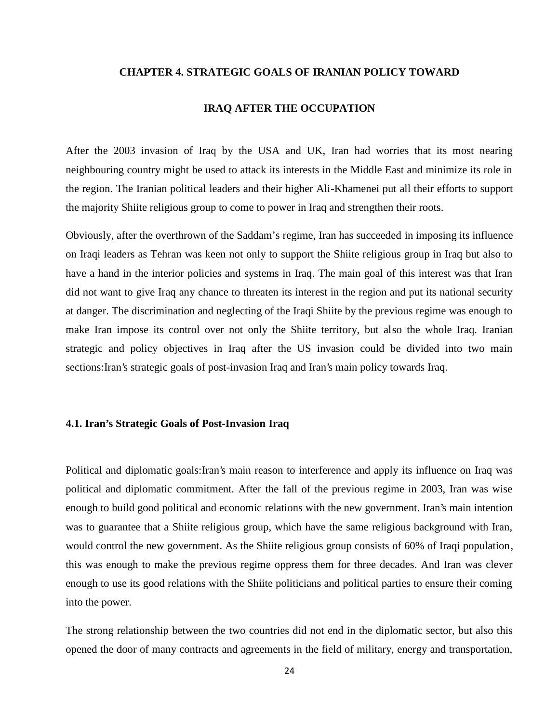#### **CHAPTER 4. STRATEGIC GOALS OF IRANIAN POLICY TOWARD**

#### **IRAQ AFTER THE OCCUPATION**

After the 2003 invasion of Iraq by the USA and UK, Iran had worries that its most nearing neighbouring country might be used to attack its interests in the Middle East and minimize its role in the region. The Iranian political leaders and their higher Ali-Khamenei put all their efforts to support the majority Shiite religious group to come to power in Iraq and strengthen their roots.

Obviously, after the overthrown of the Saddam's regime, Iran has succeeded in imposing its influence on Iraqi leaders as Tehran was keen not only to support the Shiite religious group in Iraq but also to have a hand in the interior policies and systems in Iraq. The main goal of this interest was that Iran did not want to give Iraq any chance to threaten its interest in the region and put its national security at danger. The discrimination and neglecting of the Iraqi Shiite by the previous regime was enough to make Iran impose its control over not only the Shiite territory, but also the whole Iraq. Iranian strategic and policy objectives in Iraq after the US invasion could be divided into two main sections:Iran's strategic goals of post-invasion Iraq and Iran's main policy towards Iraq.

#### **4.1. Iran's Strategic Goals of Post-Invasion Iraq**

Political and diplomatic goals:Iran's main reason to interference and apply its influence on Iraq was political and diplomatic commitment. After the fall of the previous regime in 2003, Iran was wise enough to build good political and economic relations with the new government. Iran's main intention was to guarantee that a Shiite religious group, which have the same religious background with Iran, would control the new government. As the Shiite religious group consists of 60% of Iraqi population, this was enough to make the previous regime oppress them for three decades. And Iran was clever enough to use its good relations with the Shiite politicians and political parties to ensure their coming into the power.

The strong relationship between the two countries did not end in the diplomatic sector, but also this opened the door of many contracts and agreements in the field of military, energy and transportation,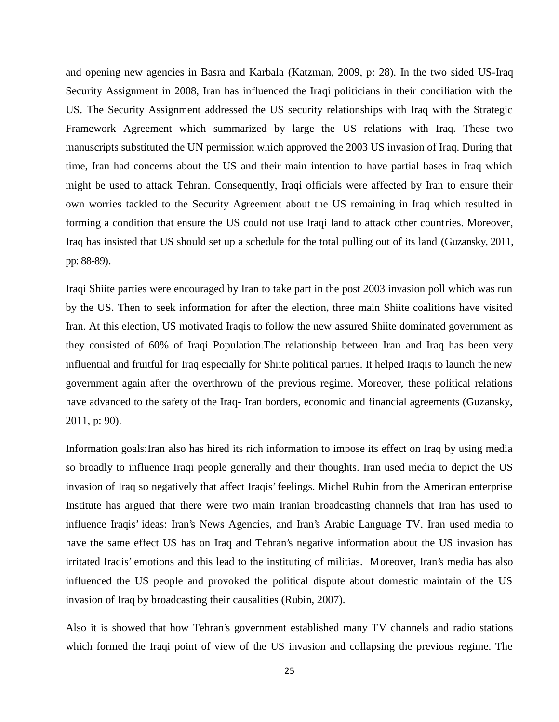and opening new agencies in Basra and Karbala (Katzman, 2009, p: 28). In the two sided US-Iraq Security Assignment in 2008, Iran has influenced the Iraqi politicians in their conciliation with the US. The Security Assignment addressed the US security relationships with Iraq with the Strategic Framework Agreement which summarized by large the US relations with Iraq. These two manuscripts substituted the UN permission which approved the 2003 US invasion of Iraq. During that time, Iran had concerns about the US and their main intention to have partial bases in Iraq which might be used to attack Tehran. Consequently, Iraqi officials were affected by Iran to ensure their own worries tackled to the Security Agreement about the US remaining in Iraq which resulted in forming a condition that ensure the US could not use Iraqi land to attack other countries. Moreover, Iraq has insisted that US should set up a schedule for the total pulling out of its land (Guzansky, 2011, pp: 88-89).

Iraqi Shiite parties were encouraged by Iran to take part in the post 2003 invasion poll which was run by the US. Then to seek information for after the election, three main Shiite coalitions have visited Iran. At this election, US motivated Iraqis to follow the new assured Shiite dominated government as they consisted of 60% of Iraqi Population.The relationship between Iran and Iraq has been very influential and fruitful for Iraq especially for Shiite political parties. It helped Iraqis to launch the new government again after the overthrown of the previous regime. Moreover, these political relations have advanced to the safety of the Iraq- Iran borders, economic and financial agreements (Guzansky, 2011, p: 90).

Information goals:Iran also has hired its rich information to impose its effect on Iraq by using media so broadly to influence Iraqi people generally and their thoughts. Iran used media to depict the US invasion of Iraq so negatively that affect Iraqis' feelings. Michel Rubin from the American enterprise Institute has argued that there were two main Iranian broadcasting channels that Iran has used to influence Iraqis' ideas: Iran's News Agencies, and Iran's Arabic Language TV. Iran used media to have the same effect US has on Iraq and Tehran's negative information about the US invasion has irritated Iraqis' emotions and this lead to the instituting of militias. Moreover, Iran's media has also influenced the US people and provoked the political dispute about domestic maintain of the US invasion of Iraq by broadcasting their causalities (Rubin, 2007).

Also it is showed that how Tehran's government established many TV channels and radio stations which formed the Iraqi point of view of the US invasion and collapsing the previous regime. The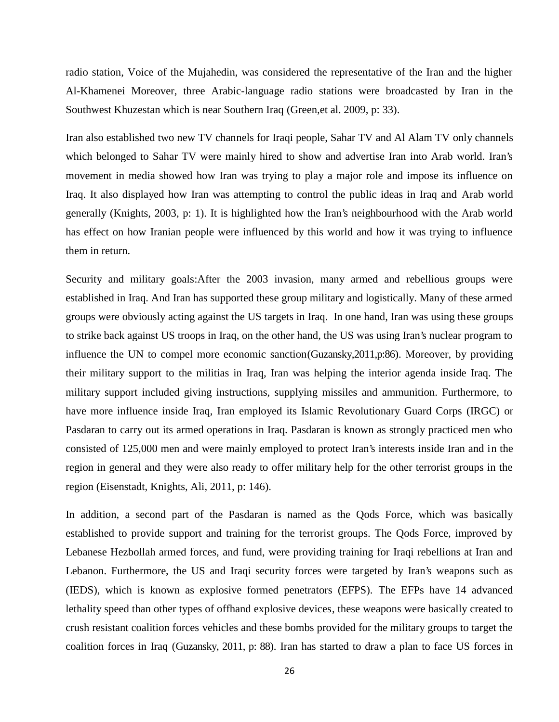radio station, Voice of the Mujahedin, was considered the representative of the Iran and the higher Al-Khamenei Moreover, three Arabic-language radio stations were broadcasted by Iran in the Southwest Khuzestan which is near Southern Iraq (Green,et al. 2009, p: 33).

Iran also established two new TV channels for Iraqi people, Sahar TV and Al Alam TV only channels which belonged to Sahar TV were mainly hired to show and advertise Iran into Arab world. Iran's movement in media showed how Iran was trying to play a major role and impose its influence on Iraq. It also displayed how Iran was attempting to control the public ideas in Iraq and Arab world generally (Knights, 2003, p: 1). It is highlighted how the Iran's neighbourhood with the Arab world has effect on how Iranian people were influenced by this world and how it was trying to influence them in return.

Security and military goals:After the 2003 invasion, many armed and rebellious groups were established in Iraq. And Iran has supported these group military and logistically. Many of these armed groups were obviously acting against the US targets in Iraq. In one hand, Iran was using these groups to strike back against US troops in Iraq, on the other hand, the US was using Iran's nuclear program to influence the UN to compel more economic sanction(Guzansky,2011,p:86). Moreover, by providing their military support to the militias in Iraq, Iran was helping the interior agenda inside Iraq. The military support included giving instructions, supplying missiles and ammunition. Furthermore, to have more influence inside Iraq, Iran employed its Islamic Revolutionary Guard Corps (IRGC) or Pasdaran to carry out its armed operations in Iraq. Pasdaran is known as strongly practiced men who consisted of 125,000 men and were mainly employed to protect Iran's interests inside Iran and in the region in general and they were also ready to offer military help for the other terrorist groups in the region (Eisenstadt, Knights, Ali, 2011, p: 146).

In addition, a second part of the Pasdaran is named as the Qods Force, which was basically established to provide support and training for the terrorist groups. The Qods Force, improved by Lebanese Hezbollah armed forces, and fund, were providing training for Iraqi rebellions at Iran and Lebanon. Furthermore, the US and Iraqi security forces were targeted by Iran's weapons such as (IEDS), which is known as explosive formed penetrators (EFPS). The EFPs have 14 advanced lethality speed than other types of offhand explosive devices, these weapons were basically created to crush resistant coalition forces vehicles and these bombs provided for the military groups to target the coalition forces in Iraq (Guzansky, 2011, p: 88). Iran has started to draw a plan to face US forces in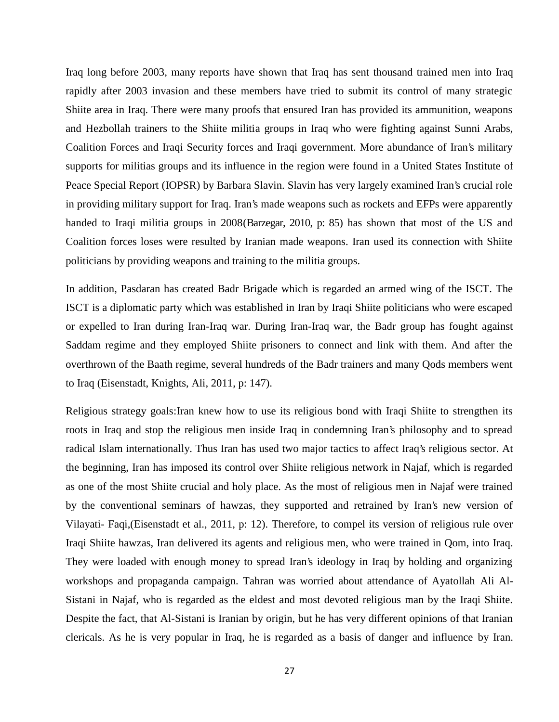Iraq long before 2003, many reports have shown that Iraq has sent thousand trained men into Iraq rapidly after 2003 invasion and these members have tried to submit its control of many strategic Shiite area in Iraq. There were many proofs that ensured Iran has provided its ammunition, weapons and Hezbollah trainers to the Shiite militia groups in Iraq who were fighting against Sunni Arabs, Coalition Forces and Iraqi Security forces and Iraqi government. More abundance of Iran's military supports for militias groups and its influence in the region were found in a United States Institute of Peace Special Report (IOPSR) by Barbara Slavin. Slavin has very largely examined Iran's crucial role in providing military support for Iraq. Iran's made weapons such as rockets and EFPs were apparently handed to Iraqi militia groups in 2008(Barzegar, 2010, p: 85) has shown that most of the US and Coalition forces loses were resulted by Iranian made weapons. Iran used its connection with Shiite politicians by providing weapons and training to the militia groups.

In addition, Pasdaran has created Badr Brigade which is regarded an armed wing of the ISCT. The ISCT is a diplomatic party which was established in Iran by Iraqi Shiite politicians who were escaped or expelled to Iran during Iran-Iraq war. During Iran-Iraq war, the Badr group has fought against Saddam regime and they employed Shiite prisoners to connect and link with them. And after the overthrown of the Baath regime, several hundreds of the Badr trainers and many Qods members went to Iraq (Eisenstadt, Knights, Ali, 2011, p: 147).

Religious strategy goals:Iran knew how to use its religious bond with Iraqi Shiite to strengthen its roots in Iraq and stop the religious men inside Iraq in condemning Iran's philosophy and to spread radical Islam internationally. Thus Iran has used two major tactics to affect Iraq's religious sector. At the beginning, Iran has imposed its control over Shiite religious network in Najaf, which is regarded as one of the most Shiite crucial and holy place. As the most of religious men in Najaf were trained by the conventional seminars of hawzas, they supported and retrained by Iran's new version of Vilayati- Faqi,(Eisenstadt et al., 2011, p: 12). Therefore, to compel its version of religious rule over Iraqi Shiite hawzas, Iran delivered its agents and religious men, who were trained in Qom, into Iraq. They were loaded with enough money to spread Iran's ideology in Iraq by holding and organizing workshops and propaganda campaign. Tahran was worried about attendance of Ayatollah Ali Al- Sistani in Najaf, who is regarded as the eldest and most devoted religious man by the Iraqi Shiite. Despite the fact, that Al-Sistani is Iranian by origin, but he has very different opinions of that Iranian clericals. As he is very popular in Iraq, he is regarded as a basis of danger and influence by Iran.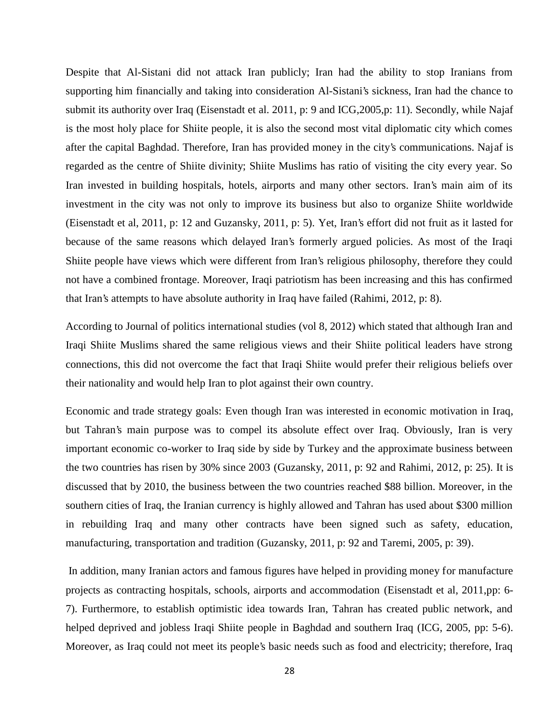Despite that Al-Sistani did not attack Iran publicly; Iran had the ability to stop Iranians from supporting him financially and taking into consideration Al-Sistani's sickness, Iran had the chance to submit its authority over Iraq (Eisenstadt et al. 2011, p: 9 and ICG,2005,p: 11). Secondly, while Najaf is the most holy place for Shiite people, it is also the second most vital diplomatic city which comes after the capital Baghdad. Therefore, Iran has provided money in the city's communications. Najaf is regarded as the centre of Shiite divinity; Shiite Muslims has ratio of visiting the city every year. So Iran invested in building hospitals, hotels, airports and many other sectors. Iran's main aim of its investment in the city was not only to improve its business but also to organize Shiite worldwide (Eisenstadt et al, 2011, p: 12 and Guzansky, 2011, p: 5). Yet, Iran's effort did not fruit as it lasted for because of the same reasons which delayed Iran's formerly argued policies. As most of the Iraqi Shiite people have views which were different from Iran's religious philosophy, therefore they could not have a combined frontage. Moreover, Iraqi patriotism has been increasing and this has confirmed that Iran's attempts to have absolute authority in Iraq have failed (Rahimi, 2012, p: 8).

According to Journal of politics international studies (vol 8, 2012) which stated that although Iran and Iraqi Shiite Muslims shared the same religious views and their Shiite political leaders have strong connections, this did not overcome the fact that Iraqi Shiite would prefer their religious beliefs over their nationality and would help Iran to plot against their own country.

Economic and trade strategy goals: Even though Iran was interested in economic motivation in Iraq, but Tahran's main purpose was to compel its absolute effect over Iraq. Obviously, Iran is very important economic co-worker to Iraq side by side by Turkey and the approximate business between the two countries has risen by 30% since 2003 (Guzansky, 2011, p: 92 and Rahimi, 2012, p: 25). It is discussed that by 2010, the business between the two countries reached \$88 billion. Moreover, in the southern cities of Iraq, the Iranian currency is highly allowed and Tahran has used about \$300 million in rebuilding Iraq and many other contracts have been signed such as safety, education, manufacturing, transportation and tradition (Guzansky, 2011, p: 92 and Taremi, 2005, p: 39).

In addition, many Iranian actors and famous figures have helped in providing money for manufacture projects as contracting hospitals, schools, airports and accommodation (Eisenstadt et al, 2011,pp: 6- 7). Furthermore, to establish optimistic idea towards Iran, Tahran has created public network, and helped deprived and jobless Iraqi Shiite people in Baghdad and southern Iraq (ICG, 2005, pp: 5-6). Moreover, as Iraq could not meet its people's basic needs such as food and electricity; therefore, Iraq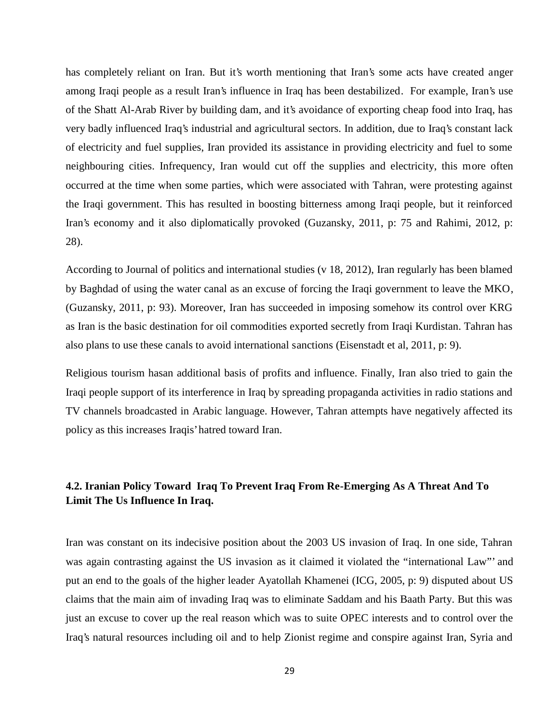has completely reliant on Iran. But it's worth mentioning that Iran's some acts have created anger among Iraqi people as a result Iran's influence in Iraq has been destabilized. For example, Iran's use of the Shatt Al-Arab River by building dam, and it's avoidance of exporting cheap food into Iraq, has very badly influenced Iraq's industrial and agricultural sectors. In addition, due to Iraq's constant lack of electricity and fuel supplies, Iran provided its assistance in providing electricity and fuel to some neighbouring cities. Infrequency, Iran would cut off the supplies and electricity, this more often occurred at the time when some parties, which were associated with Tahran, were protesting against the Iraqi government. This has resulted in boosting bitterness among Iraqi people, but it reinforced Iran's economy and it also diplomatically provoked (Guzansky, 2011, p: 75 and Rahimi, 2012, p: 28).

According to Journal of politics and international studies (v 18, 2012), Iran regularly has been blamed by Baghdad of using the water canal as an excuse of forcing the Iraqi government to leave the MKO, (Guzansky, 2011, p: 93). Moreover, Iran has succeeded in imposing somehow its control over KRG as Iran is the basic destination for oil commodities exported secretly from Iraqi Kurdistan. Tahran has also plans to use these canals to avoid international sanctions (Eisenstadt et al, 2011, p: 9).

Religious tourism hasan additional basis of profits and influence. Finally, Iran also tried to gain the Iraqi people support of its interference in Iraq by spreading propaganda activities in radio stations and TV channels broadcasted in Arabic language. However, Tahran attempts have negatively affected its policy as this increases Iraqis' hatred toward Iran.

## **4.2. Iranian Policy Toward Iraq To Prevent Iraq From Re-Emerging As A Threat And To Limit The Us Influence In Iraq.**

Iran was constant on its indecisive position about the 2003 US invasion of Iraq. In one side, Tahran was again contrasting against the US invasion as it claimed it violated the "international Law"' and put an end to the goals of the higher leader Ayatollah Khamenei (ICG, 2005, p: 9) disputed about US claims that the main aim of invading Iraq was to eliminate Saddam and his Baath Party. But this was just an excuse to cover up the real reason which was to suite OPEC interests and to control over the Iraq's natural resources including oil and to help Zionist regime and conspire against Iran, Syria and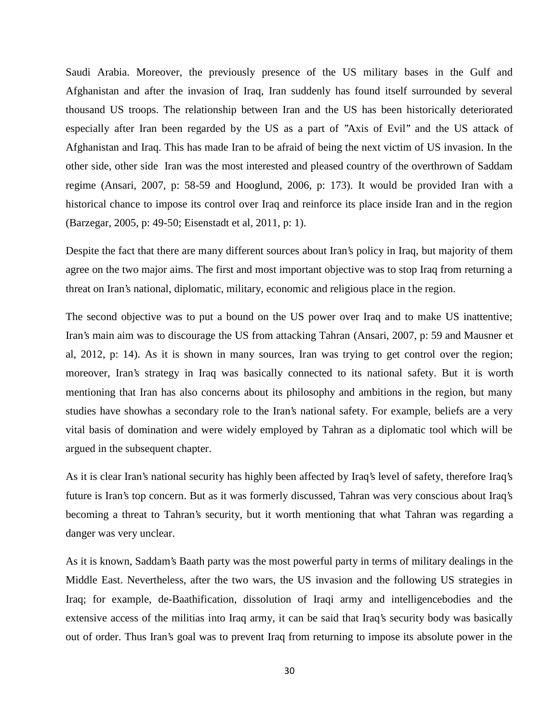Saudi Arabia. Moreover, the previously presence of the US military bases in the Gulf and Afghanistan and after the invasion of Iraq, Iran suddenly has found itself surrounded by several thousand US troops. The relationship between Iran and the US has been historically deteriorated especially after Iran been regarded by the US as a part of ''Axis of Evil'' and the US attack of Afghanistan and Iraq. This has made Iran to be afraid of being the next victim of US invasion. In the other side, other side Iran was the most interested and pleased country of the overthrown of Saddam regime (Ansari, 2007, p: 58-59 and Hooglund, 2006, p: 173). It would be provided Iran with a historical chance to impose its control over Iraq and reinforce its place inside Iran and in the region (Barzegar, 2005, p: 49-50; Eisenstadt et al, 2011, p: 1).

Despite the fact that there are many different sources about Iran's policy in Iraq, but majority of them agree on the two major aims. The first and most important objective was to stop Iraq from returning a threat on Iran's national, diplomatic, military, economic and religious place in the region.

The second objective was to put a bound on the US power over Iraq and to make US inattentive; Iran's main aim was to discourage the US from attacking Tahran (Ansari, 2007, p: 59 and Mausner et al, 2012, p: 14). As it is shown in many sources, Iran was trying to get control over the region; moreover, Iran's strategy in Iraq was basically connected to its national safety. But it is worth mentioning that Iran has also concerns about its philosophy and ambitions in the region, but many studies have showhas a secondary role to the Iran's national safety. For example, beliefs are a very vital basis of domination and were widely employed by Tahran as a diplomatic tool which will be argued in the subsequent chapter.

As it is clear Iran's national security has highly been affected by Iraq's level of safety, therefore Iraq's future is Iran's top concern. But as it was formerly discussed, Tahran was very conscious about Iraq's becoming a threat to Tahran's security, but it worth mentioning that what Tahran was regarding a danger was very unclear.

As it is known, Saddam's Baath party was the most powerful party in terms of military dealings in the Middle East. Nevertheless, after the two wars, the US invasion and the following US strategies in Iraq; for example, de-Baathification, dissolution of Iraqi army and intelligencebodies and the extensive access of the militias into Iraq army, it can be said that Iraq's security body was basically out of order. Thus Iran's goal was to prevent Iraq from returning to impose its absolute power in the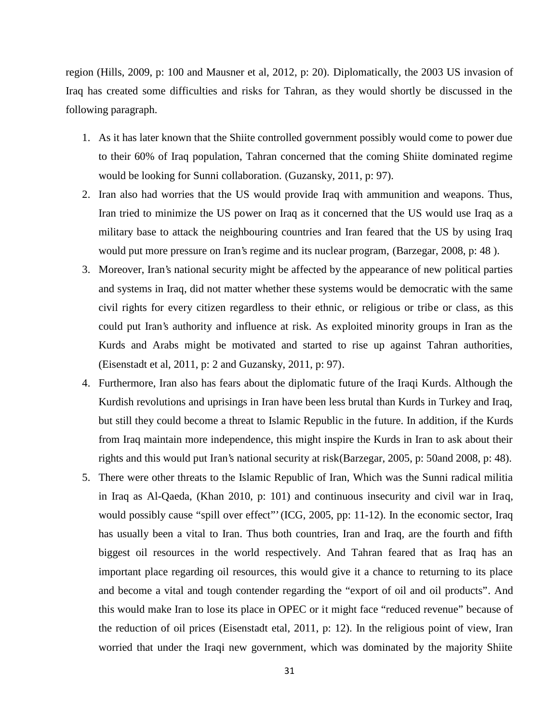region (Hills, 2009, p: 100 and Mausner et al, 2012, p: 20). Diplomatically, the 2003 US invasion of Iraq has created some difficulties and risks for Tahran, as they would shortly be discussed in the following paragraph.

- 1. As it has later known that the Shiite controlled government possibly would come to power due to their 60% of Iraq population, Tahran concerned that the coming Shiite dominated regime would be looking for Sunni collaboration. (Guzansky, 2011, p: 97).
- 2. Iran also had worries that the US would provide Iraq with ammunition and weapons. Thus, Iran tried to minimize the US power on Iraq as it concerned that the US would use Iraq as a military base to attack the neighbouring countries and Iran feared that the US by using Iraq would put more pressure on Iran's regime and its nuclear program, (Barzegar, 2008, p: 48 ).
- 3. Moreover, Iran's national security might be affected by the appearance of new political parties and systems in Iraq, did not matter whether these systems would be democratic with the same civil rights for every citizen regardless to their ethnic, or religious or tribe or class, as this could put Iran's authority and influence at risk. As exploited minority groups in Iran as the Kurds and Arabs might be motivated and started to rise up against Tahran authorities, (Eisenstadt et al, 2011, p: 2 and Guzansky, 2011, p: 97).
- 4. Furthermore, Iran also has fears about the diplomatic future of the Iraqi Kurds. Although the Kurdish revolutions and uprisings in Iran have been less brutal than Kurds in Turkey and Iraq, but still they could become a threat to Islamic Republic in the future. In addition, if the Kurds from Iraq maintain more independence, this might inspire the Kurds in Iran to ask about their rights and this would put Iran's national security at risk(Barzegar, 2005, p: 50and 2008, p: 48).
- 5. There were other threats to the Islamic Republic of Iran, Which was the Sunni radical militia in Iraq as Al-Qaeda, (Khan 2010, p: 101) and continuous insecurity and civil war in Iraq, would possibly cause "spill over effect" (ICG, 2005, pp: 11-12). In the economic sector, Iraq has usually been a vital to Iran. Thus both countries, Iran and Iraq, are the fourth and fifth biggest oil resources in the world respectively. And Tahran feared that as Iraq has an important place regarding oil resources, this would give it a chance to returning to its place and become a vital and tough contender regarding the "export of oil and oil products". And this would make Iran to lose its place in OPEC or it might face "reduced revenue" because of the reduction of oil prices (Eisenstadt etal, 2011, p: 12). In the religious point of view, Iran worried that under the Iraqi new government, which was dominated by the majority Shiite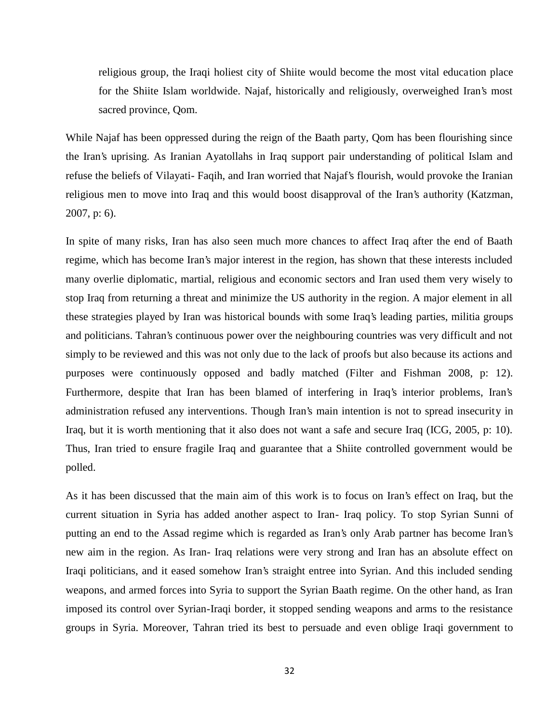religious group, the Iraqi holiest city of Shiite would become the most vital education place for the Shiite Islam worldwide. Najaf, historically and religiously, overweighed Iran's most sacred province, Qom.

While Najaf has been oppressed during the reign of the Baath party, Qom has been flourishing since the Iran's uprising. As Iranian Ayatollahs in Iraq support pair understanding of political Islam and refuse the beliefs of Vilayati- Faqih, and Iran worried that Najaf's flourish, would provoke the Iranian religious men to move into Iraq and this would boost disapproval of the Iran's authority (Katzman, 2007, p: 6).

In spite of many risks, Iran has also seen much more chances to affect Iraq after the end of Baath regime, which has become Iran's major interest in the region, has shown that these interests included many overlie diplomatic, martial, religious and economic sectors and Iran used them very wisely to stop Iraq from returning a threat and minimize the US authority in the region. A major element in all these strategies played by Iran was historical bounds with some Iraq's leading parties, militia groups and politicians. Tahran's continuous power over the neighbouring countries was very difficult and not simply to be reviewed and this was not only due to the lack of proofs but also because its actions and purposes were continuously opposed and badly matched (Filter and Fishman 2008, p: 12). Furthermore, despite that Iran has been blamed of interfering in Iraq's interior problems, Iran's administration refused any interventions. Though Iran's main intention is not to spread insecurity in Iraq, but it is worth mentioning that it also does not want a safe and secure Iraq (ICG, 2005, p: 10). Thus, Iran tried to ensure fragile Iraq and guarantee that a Shiite controlled government would be polled.

As it has been discussed that the main aim of this work is to focus on Iran's effect on Iraq, but the current situation in Syria has added another aspect to Iran- Iraq policy. To stop Syrian Sunni of putting an end to the Assad regime which is regarded as Iran's only Arab partner has become Iran's new aim in the region. As Iran- Iraq relations were very strong and Iran has an absolute effect on Iraqi politicians, and it eased somehow Iran's straight entree into Syrian. And this included sending weapons, and armed forces into Syria to support the Syrian Baath regime. On the other hand, as Iran imposed its control over Syrian-Iraqi border, it stopped sending weapons and arms to the resistance groups in Syria. Moreover, Tahran tried its best to persuade and even oblige Iraqi government to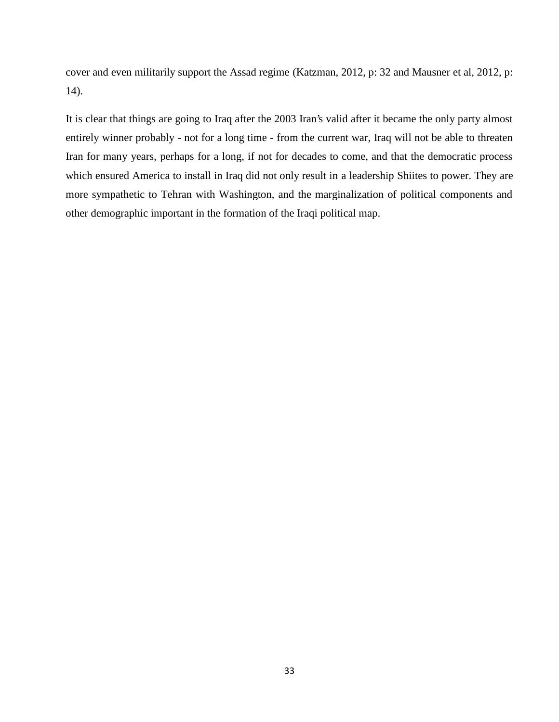cover and even militarily support the Assad regime (Katzman, 2012, p: 32 and Mausner et al, 2012, p: 14).

It is clear that things are going to Iraq after the 2003 Iran's valid after it became the only party almost entirely winner probably - not for a long time - from the current war, Iraq will not be able to threaten Iran for many years, perhaps for a long, if not for decades to come, and that the democratic process which ensured America to install in Iraq did not only result in a leadership Shiites to power. They are more sympathetic to Tehran with Washington, and the marginalization of political components and other demographic important in the formation of the Iraqi political map.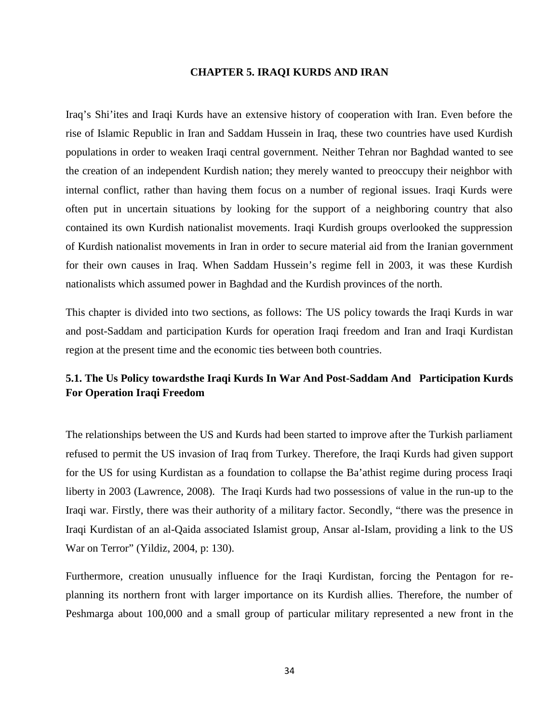#### **CHAPTER 5. IRAQI KURDS AND IRAN**

Iraq's Shi'ites and Iraqi Kurds have an extensive history of cooperation with Iran. Even before the rise of Islamic Republic in Iran and Saddam Hussein in Iraq, these two countries have used Kurdish populations in order to weaken Iraqi central government. Neither Tehran nor Baghdad wanted to see the creation of an independent Kurdish nation; they merely wanted to preoccupy their neighbor with internal conflict, rather than having them focus on a number of regional issues. Iraqi Kurds were often put in uncertain situations by looking for the support of a neighboring country that also contained its own Kurdish nationalist movements. Iraqi Kurdish groups overlooked the suppression of Kurdish nationalist movements in Iran in order to secure material aid from the Iranian government for their own causes in Iraq. When Saddam Hussein's regime fell in 2003, it was these Kurdish nationalists which assumed power in Baghdad and the Kurdish provinces of the north.

This chapter is divided into two sections, as follows: The US policy towards the Iraqi Kurds in war and post-Saddam and participation Kurds for operation Iraqi freedom and Iran and Iraqi Kurdistan region at the present time and the economic ties between both countries.

## **5.1. The Us Policy towardsthe Iraqi Kurds In War And Post-Saddam And Participation Kurds For Operation Iraqi Freedom**

The relationships between the US and Kurds had been started to improve after the Turkish parliament refused to permit the US invasion of Iraq from Turkey. Therefore, the Iraqi Kurds had given support for the US for using Kurdistan as a foundation to collapse the Ba'athist regime during process Iraqi liberty in 2003 (Lawrence, 2008). The Iraqi Kurds had two possessions of value in the run-up to the Iraqi war. Firstly, there was their authority of a military factor. Secondly, "there was the presence in Iraqi Kurdistan of an al-Qaida associated Islamist group, Ansar al-Islam, providing a link to the US War on Terror" (Yildiz, 2004, p: 130).

Furthermore, creation unusually influence for the Iraqi Kurdistan, forcing the Pentagon for re planning its northern front with larger importance on its Kurdish allies. Therefore, the number of Peshmarga about 100,000 and a small group of particular military represented a new front in the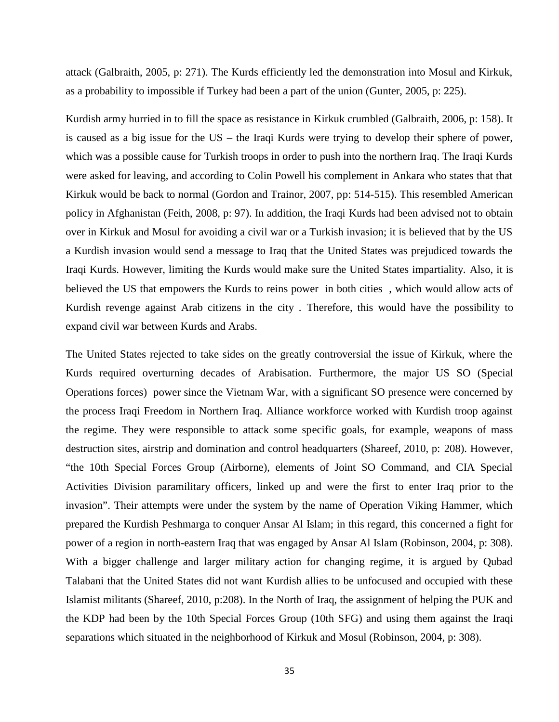attack (Galbraith, 2005, p: 271). The Kurds efficiently led the demonstration into Mosul and Kirkuk, as a probability to impossible if Turkey had been a part of the union (Gunter, 2005, p: 225).

Kurdish army hurried in to fill the space as resistance in Kirkuk crumbled (Galbraith, 2006, p: 158). It is caused as a big issue for the US – the Iraqi Kurds were trying to develop their sphere of power, which was a possible cause for Turkish troops in order to push into the northern Iraq. The Iraqi Kurds were asked for leaving, and according to Colin Powell his complement in Ankara who states that that Kirkuk would be back to normal (Gordon and Trainor, 2007, pp: 514-515). This resembled American policy in Afghanistan (Feith, 2008, p: 97). In addition, the Iraqi Kurds had been advised not to obtain over in Kirkuk and Mosul for avoiding a civil war or a Turkish invasion; it is believed that by the US a Kurdish invasion would send a message to Iraq that the United States was prejudiced towards the Iraqi Kurds. However, limiting the Kurds would make sure the United States impartiality. Also, it is believed the US that empowers the Kurds to reins power in both cities , which would allow acts of Kurdish revenge against Arab citizens in the city . Therefore, this would have the possibility to expand civil war between Kurds and Arabs.

The United States rejected to take sides on the greatly controversial the issue of Kirkuk, where the Kurds required overturning decades of Arabisation. Furthermore, the major US SO (Special Operations forces) power since the Vietnam War, with a significant SO presence were concerned by the process Iraqi Freedom in Northern Iraq. Alliance workforce worked with Kurdish troop against the regime. They were responsible to attack some specific goals, for example, weapons of mass destruction sites, airstrip and domination and control headquarters (Shareef, 2010, p: 208). However, "the 10th Special Forces Group (Airborne), elements of Joint SO Command, and CIA Special Activities Division paramilitary officers, linked up and were the first to enter Iraq prior to the invasion". Their attempts were under the system by the name of Operation Viking Hammer, which prepared the Kurdish Peshmarga to conquer Ansar Al Islam; in this regard, this concerned a fight for power of a region in north-eastern Iraq that was engaged by Ansar Al Islam (Robinson, 2004, p: 308). With a bigger challenge and larger military action for changing regime, it is argued by Qubad Talabani that the United States did not want Kurdish allies to be unfocused and occupied with these Islamist militants (Shareef, 2010, p:208). In the North of Iraq, the assignment of helping the PUK and the KDP had been by the 10th Special Forces Group (10th SFG) and using them against the Iraqi separations which situated in the neighborhood of Kirkuk and Mosul (Robinson, 2004, p: 308).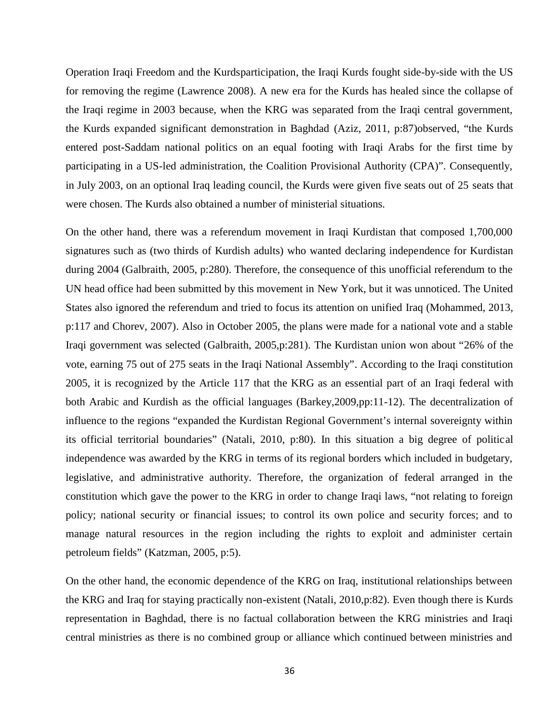Operation Iraqi Freedom and the Kurdsparticipation, the Iraqi Kurds fought side-by-side with the US for removing the regime (Lawrence 2008). A new era for the Kurds has healed since the collapse of the Iraqi regime in 2003 because, when the KRG was separated from the Iraqi central government, the Kurds expanded significant demonstration in Baghdad (Aziz, 2011, p:87)observed, "the Kurds entered post-Saddam national politics on an equal footing with Iraqi Arabs for the first time by participating in a US-led administration, the Coalition Provisional Authority (CPA)". Consequently, in July 2003, on an optional Iraq leading council, the Kurds were given five seats out of 25 seats that were chosen. The Kurds also obtained a number of ministerial situations.

On the other hand, there was a referendum movement in Iraqi Kurdistan that composed 1,700,000 signatures such as (two thirds of Kurdish adults) who wanted declaring independence for Kurdistan during 2004 (Galbraith, 2005, p:280). Therefore, the consequence of this unofficial referendum to the UN head office had been submitted by this movement in New York, but it was unnoticed. The United States also ignored the referendum and tried to focus its attention on unified Iraq (Mohammed, 2013, p:117 and Chorev, 2007). Also in October 2005, the plans were made for a national vote and a stable Iraqi government was selected (Galbraith, 2005,p:281). The Kurdistan union won about "26% of the vote, earning 75 out of 275 seats in the Iraqi National Assembly". According to the Iraqi constitution 2005, it is recognized by the Article 117 that the KRG as an essential part of an Iraqi federal with both Arabic and Kurdish as the official languages (Barkey,2009,pp:11-12). The decentralization of influence to the regions "expanded the Kurdistan Regional Government's internal sovereignty within its official territorial boundaries" (Natali, 2010, p:80). In this situation a big degree of political independence was awarded by the KRG in terms of its regional borders which included in budgetary, legislative, and administrative authority. Therefore, the organization of federal arranged in the constitution which gave the power to the KRG in order to change Iraqi laws, "not relating to foreign policy; national security or financial issues; to control its own police and security forces; and to manage natural resources in the region including the rights to exploit and administer certain petroleum fields" (Katzman, 2005, p:5).

On the other hand, the economic dependence of the KRG on Iraq, institutional relationships between the KRG and Iraq for staying practically non-existent (Natali, 2010,p:82). Even though there is Kurds representation in Baghdad, there is no factual collaboration between the KRG ministries and Iraqi central ministries as there is no combined group or alliance which continued between ministries and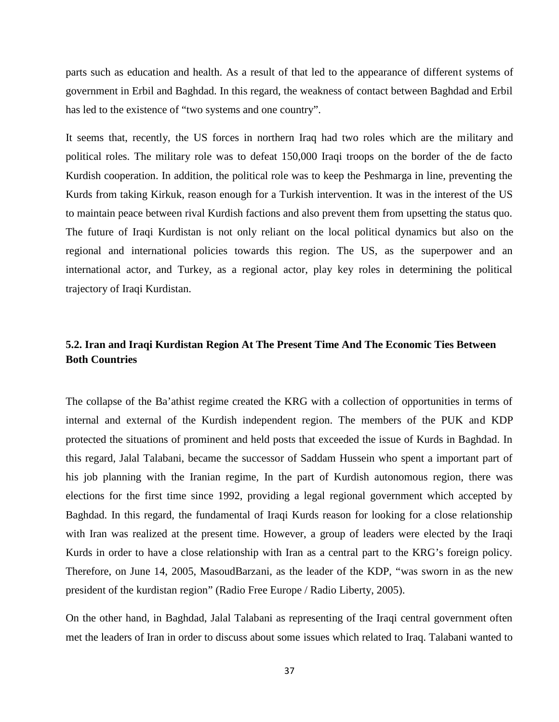parts such as education and health. As a result of that led to the appearance of different systems of government in Erbil and Baghdad. In this regard, the weakness of contact between Baghdad and Erbil has led to the existence of "two systems and one country".

It seems that, recently, the US forces in northern Iraq had two roles which are the military and political roles. The military role was to defeat 150,000 Iraqi troops on the border of the de facto Kurdish cooperation. In addition, the political role was to keep the Peshmarga in line, preventing the Kurds from taking Kirkuk, reason enough for a Turkish intervention. It was in the interest of the US to maintain peace between rival Kurdish factions and also prevent them from upsetting the status quo. The future of Iraqi Kurdistan is not only reliant on the local political dynamics but also on the regional and international policies towards this region. The US, as the superpower and an international actor, and Turkey, as a regional actor, play key roles in determining the political trajectory of Iraqi Kurdistan.

## **5.2. Iran and Iraqi Kurdistan Region At The Present Time And The Economic Ties Between Both Countries**

The collapse of the Ba'athist regime created the KRG with a collection of opportunities in terms of internal and external of the Kurdish independent region. The members of the PUK and KDP protected the situations of prominent and held posts that exceeded the issue of Kurds in Baghdad. In this regard, Jalal Talabani, became the successor of Saddam Hussein who spent a important part of his job planning with the Iranian regime, In the part of Kurdish autonomous region, there was elections for the first time since 1992, providing a legal regional government which accepted by Baghdad. In this regard, the fundamental of Iraqi Kurds reason for looking for a close relationship with Iran was realized at the present time. However, a group of leaders were elected by the Iraqi Kurds in order to have a close relationship with Iran as a central part to the KRG's foreign policy. Therefore, on June 14, 2005, MasoudBarzani, as the leader of the KDP, "was sworn in as the new president of the kurdistan region" (Radio Free Europe / Radio Liberty, 2005).

On the other hand, in Baghdad, Jalal Talabani as representing of the Iraqi central government often met the leaders of Iran in order to discuss about some issues which related to Iraq. Talabani wanted to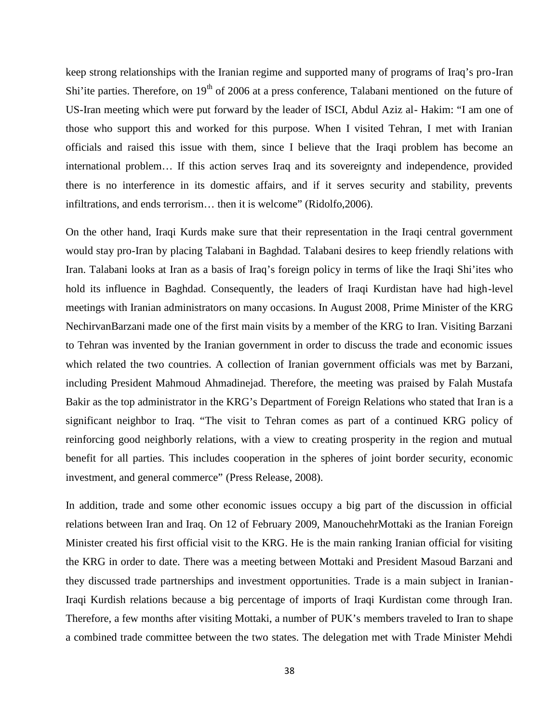keep strong relationships with the Iranian regime and supported many of programs of Iraq's pro-Iran Shi'ite parties. Therefore, on  $19<sup>th</sup>$  of 2006 at a press conference, Talabani mentioned on the future of US-Iran meeting which were put forward by the leader of ISCI, Abdul Aziz al- Hakim: "I am one of those who support this and worked for this purpose. When I visited Tehran, I met with Iranian officials and raised this issue with them, since I believe that the Iraqi problem has become an international problem… If this action serves Iraq and its sovereignty and independence, provided there is no interference in its domestic affairs, and if it serves security and stability, prevents infiltrations, and ends terrorism… then it is welcome" (Ridolfo,2006).

On the other hand, Iraqi Kurds make sure that their representation in the Iraqi central government would stay pro-Iran by placing Talabani in Baghdad. Talabani desires to keep friendly relations with Iran. Talabani looks at Iran as a basis of Iraq's foreign policy in terms of like the Iraqi Shi'ites who hold its influence in Baghdad. Consequently, the leaders of Iraqi Kurdistan have had high-level meetings with Iranian administrators on many occasions. In August 2008, Prime Minister of the KRG NechirvanBarzani made one of the first main visits by a member of the KRG to Iran. Visiting Barzani to Tehran was invented by the Iranian government in order to discuss the trade and economic issues which related the two countries. A collection of Iranian government officials was met by Barzani, including President Mahmoud Ahmadinejad. Therefore, the meeting was praised by Falah Mustafa Bakir as the top administrator in the KRG's Department of Foreign Relations who stated that Iran is a significant neighbor to Iraq. "The visit to Tehran comes as part of a continued KRG policy of reinforcing good neighborly relations, with a view to creating prosperity in the region and mutual benefit for all parties. This includes cooperation in the spheres of joint border security, economic investment, and general commerce" (Press Release, 2008).

In addition, trade and some other economic issues occupy a big part of the discussion in official relations between Iran and Iraq. On 12 of February 2009, ManouchehrMottaki as the Iranian Foreign Minister created his first official visit to the KRG. He is the main ranking Iranian official for visiting the KRG in order to date. There was a meeting between Mottaki and President Masoud Barzani and they discussed trade partnerships and investment opportunities. Trade is a main subject in Iranian-Iraqi Kurdish relations because a big percentage of imports of Iraqi Kurdistan come through Iran. Therefore, a few months after visiting Mottaki, a number of PUK's members traveled to Iran to shape a combined trade committee between the two states. The delegation met with Trade Minister Mehdi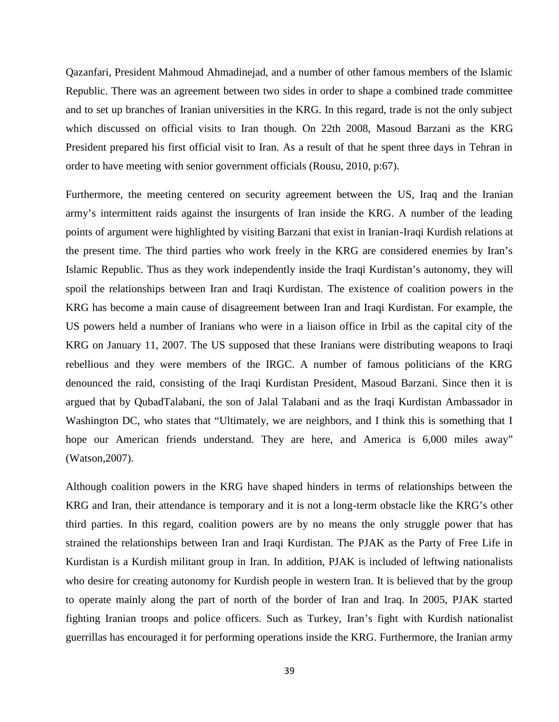Qazanfari, President Mahmoud Ahmadinejad, and a number of other famous members of the Islamic Republic. There was an agreement between two sides in order to shape a combined trade committee and to set up branches of Iranian universities in the KRG. In this regard, trade is not the only subject which discussed on official visits to Iran though. On 22th 2008, Masoud Barzani as the KRG President prepared his first official visit to Iran. As a result of that he spent three days in Tehran in order to have meeting with senior government officials (Rousu, 2010, p:67).

Furthermore, the meeting centered on security agreement between the US, Iraq and the Iranian army's intermittent raids against the insurgents of Iran inside the KRG. A number of the leading points of argument were highlighted by visiting Barzani that exist in Iranian-Iraqi Kurdish relations at the present time. The third parties who work freely in the KRG are considered enemies by Iran's Islamic Republic. Thus as they work independently inside the Iraqi Kurdistan's autonomy, they will spoil the relationships between Iran and Iraqi Kurdistan. The existence of coalition powers in the KRG has become a main cause of disagreement between Iran and Iraqi Kurdistan. For example, the US powers held a number of Iranians who were in a liaison office in Irbil as the capital city of the KRG on January 11, 2007. The US supposed that these Iranians were distributing weapons to Iraqi rebellious and they were members of the IRGC. A number of famous politicians of the KRG denounced the raid, consisting of the Iraqi Kurdistan President, Masoud Barzani. Since then it is argued that by QubadTalabani, the son of Jalal Talabani and as the Iraqi Kurdistan Ambassador in Washington DC, who states that "Ultimately, we are neighbors, and I think this is something that I hope our American friends understand. They are here, and America is 6,000 miles away" (Watson,2007).

Although coalition powers in the KRG have shaped hinders in terms of relationships between the KRG and Iran, their attendance is temporary and it is not a long-term obstacle like the KRG's other third parties. In this regard, coalition powers are by no means the only struggle power that has strained the relationships between Iran and Iraqi Kurdistan. The PJAK as the Party of Free Life in Kurdistan is a Kurdish militant group in Iran. In addition, PJAK is included of leftwing nationalists who desire for creating autonomy for Kurdish people in western Iran. It is believed that by the group to operate mainly along the part of north of the border of Iran and Iraq. In 2005, PJAK started fighting Iranian troops and police officers. Such as Turkey, Iran's fight with Kurdish nationalist guerrillas has encouraged it for performing operations inside the KRG. Furthermore, the Iranian army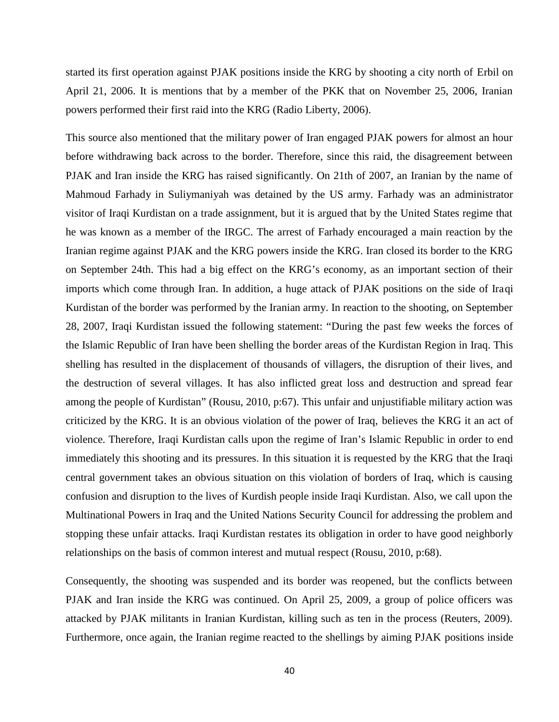started its first operation against PJAK positions inside the KRG by shooting a city north of Erbil on April 21, 2006. It is mentions that by a member of the PKK that on November 25, 2006, Iranian powers performed their first raid into the KRG (Radio Liberty, 2006).

This source also mentioned that the military power of Iran engaged PJAK powers for almost an hour before withdrawing back across to the border. Therefore, since this raid, the disagreement between PJAK and Iran inside the KRG has raised significantly. On 21th of 2007, an Iranian by the name of Mahmoud Farhady in Suliymaniyah was detained by the US army. Farhady was an administrator visitor of Iraqi Kurdistan on a trade assignment, but it is argued that by the United States regime that he was known as a member of the IRGC. The arrest of Farhady encouraged a main reaction by the Iranian regime against PJAK and the KRG powers inside the KRG. Iran closed its border to the KRG on September 24th. This had a big effect on the KRG's economy, as an important section of their imports which come through Iran. In addition, a huge attack of PJAK positions on the side of Iraqi Kurdistan of the border was performed by the Iranian army. In reaction to the shooting, on September 28, 2007, Iraqi Kurdistan issued the following statement: "During the past few weeks the forces of the Islamic Republic of Iran have been shelling the border areas of the Kurdistan Region in Iraq. This shelling has resulted in the displacement of thousands of villagers, the disruption of their lives, and the destruction of several villages. It has also inflicted great loss and destruction and spread fear among the people of Kurdistan" (Rousu, 2010, p:67). This unfair and unjustifiable military action was criticized by the KRG. It is an obvious violation of the power of Iraq, believes the KRG it an act of violence. Therefore, Iraqi Kurdistan calls upon the regime of Iran's Islamic Republic in order to end immediately this shooting and its pressures. In this situation it is requested by the KRG that the Iraqi central government takes an obvious situation on this violation of borders of Iraq, which is causing confusion and disruption to the lives of Kurdish people inside Iraqi Kurdistan. Also, we call upon the Multinational Powers in Iraq and the United Nations Security Council for addressing the problem and stopping these unfair attacks. Iraqi Kurdistan restates its obligation in order to have good neighborly relationships on the basis of common interest and mutual respect (Rousu, 2010, p:68).

Consequently, the shooting was suspended and its border was reopened, but the conflicts between PJAK and Iran inside the KRG was continued. On April 25, 2009, a group of police officers was attacked by PJAK militants in Iranian Kurdistan, killing such as ten in the process (Reuters, 2009). Furthermore, once again, the Iranian regime reacted to the shellings by aiming PJAK positions inside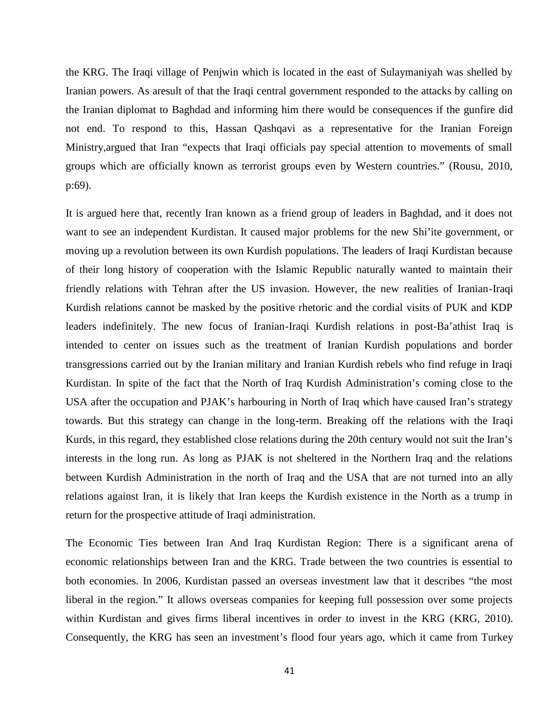the KRG. The Iraqi village of Penjwin which is located in the east of Sulaymaniyah was shelled by Iranian powers. As aresult of that the Iraqi central government responded to the attacks by calling on the Iranian diplomat to Baghdad and informing him there would be consequences if the gunfire did not end. To respond to this, Hassan Qashqavi as a representative for the Iranian Foreign Ministry,argued that Iran "expects that Iraqi officials pay special attention to movements of small groups which are officially known as terrorist groups even by Western countries." (Rousu, 2010, p:69).

It is argued here that, recently Iran known as a friend group of leaders in Baghdad, and it does not want to see an independent Kurdistan. It caused major problems for the new Shi'ite government, or moving up a revolution between its own Kurdish populations. The leaders of Iraqi Kurdistan because of their long history of cooperation with the Islamic Republic naturally wanted to maintain their friendly relations with Tehran after the US invasion. However, the new realities of Iranian-Iraqi Kurdish relations cannot be masked by the positive rhetoric and the cordial visits of PUK and KDP leaders indefinitely. The new focus of Iranian-Iraqi Kurdish relations in post-Ba'athist Iraq is intended to center on issues such as the treatment of Iranian Kurdish populations and border transgressions carried out by the Iranian military and Iranian Kurdish rebels who find refuge in Iraqi Kurdistan. In spite of the fact that the North of Iraq Kurdish Administration's coming close to the USA after the occupation and PJAK's harbouring in North of Iraq which have caused Iran's strategy towards. But this strategy can change in the long-term. Breaking off the relations with the Iraqi Kurds, in this regard, they established close relations during the 20th century would not suit the Iran's interests in the long run. As long as PJAK is not sheltered in the Northern Iraq and the relations between Kurdish Administration in the north of Iraq and the USA that are not turned into an ally relations against Iran, it is likely that Iran keeps the Kurdish existence in the North as a trump in return for the prospective attitude of Iraqi administration.

The Economic Ties between Iran And Iraq Kurdistan Region: There is a significant arena of economic relationships between Iran and the KRG. Trade between the two countries is essential to both economies. In 2006, Kurdistan passed an overseas investment law that it describes "the most liberal in the region." It allows overseas companies for keeping full possession over some projects within Kurdistan and gives firms liberal incentives in order to invest in the KRG (KRG, 2010). Consequently, the KRG has seen an investment's flood four years ago, which it came from Turkey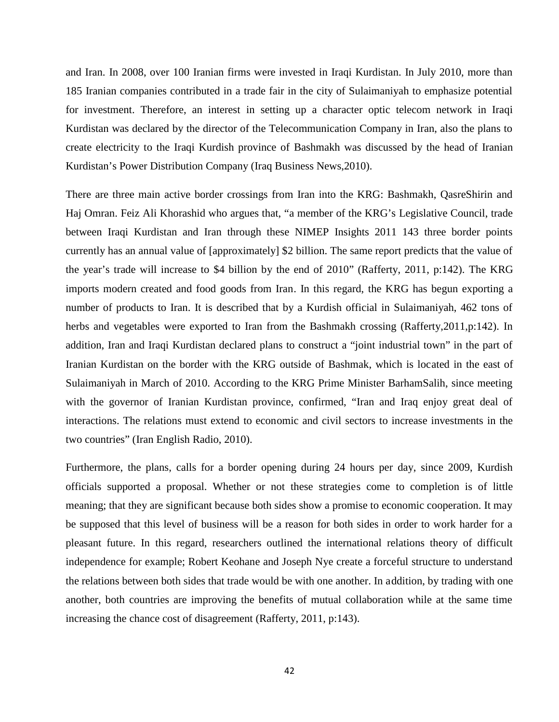and Iran. In 2008, over 100 Iranian firms were invested in Iraqi Kurdistan. In July 2010, more than 185 Iranian companies contributed in a trade fair in the city of Sulaimaniyah to emphasize potential for investment. Therefore, an interest in setting up a character optic telecom network in Iraqi Kurdistan was declared by the director of the Telecommunication Company in Iran, also the plans to create electricity to the Iraqi Kurdish province of Bashmakh was discussed by the head of Iranian Kurdistan's Power Distribution Company (Iraq Business News,2010).

There are three main active border crossings from Iran into the KRG: Bashmakh, QasreShirin and Haj Omran. Feiz Ali Khorashid who argues that, "a member of the KRG's Legislative Council, trade between Iraqi Kurdistan and Iran through these NIMEP Insights 2011 143 three border points currently has an annual value of [approximately] \$2 billion. The same report predicts that the value of the year's trade will increase to \$4 billion by the end of 2010" (Rafferty, 2011, p:142). The KRG imports modern created and food goods from Iran. In this regard, the KRG has begun exporting a number of products to Iran. It is described that by a Kurdish official in Sulaimaniyah, 462 tons of herbs and vegetables were exported to Iran from the Bashmakh crossing (Rafferty,2011,p:142). In addition, Iran and Iraqi Kurdistan declared plans to construct a "joint industrial town" in the part of Iranian Kurdistan on the border with the KRG outside of Bashmak, which is located in the east of Sulaimaniyah in March of 2010. According to the KRG Prime Minister BarhamSalih, since meeting with the governor of Iranian Kurdistan province, confirmed, "Iran and Iraq enjoy great deal of interactions. The relations must extend to economic and civil sectors to increase investments in the two countries" (Iran English Radio, 2010).

Furthermore, the plans, calls for a border opening during 24 hours per day, since 2009, Kurdish officials supported a proposal. Whether or not these strategies come to completion is of little meaning; that they are significant because both sides show a promise to economic cooperation. It may be supposed that this level of business will be a reason for both sides in order to work harder for a pleasant future. In this regard, researchers outlined the international relations theory of difficult independence for example; Robert Keohane and Joseph Nye create a forceful structure to understand the relations between both sides that trade would be with one another. In addition, by trading with one another, both countries are improving the benefits of mutual collaboration while at the same time increasing the chance cost of disagreement (Rafferty, 2011, p:143).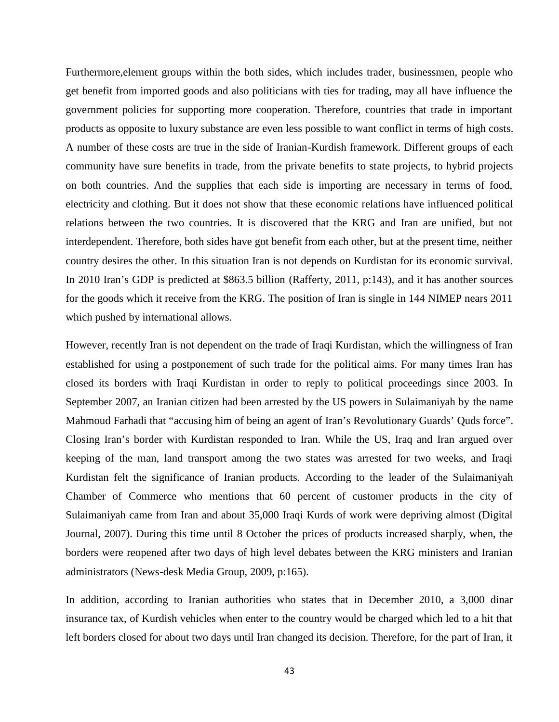Furthermore, element groups within the both sides, which includes trader, businessmen, people who get benefit from imported goods and also politicians with ties for trading, may all have influence the government policies for supporting more cooperation. Therefore, countries that trade in important products as opposite to luxury substance are even less possible to want conflict in terms of high costs. A number of these costs are true in the side of Iranian-Kurdish framework. Different groups of each community have sure benefits in trade, from the private benefits to state projects, to hybrid projects on both countries. And the supplies that each side is importing are necessary in terms of food, electricity and clothing. But it does not show that these economic relations have influenced political relations between the two countries. It is discovered that the KRG and Iran are unified, but not interdependent. Therefore, both sides have got benefit from each other, but at the present time, neither country desires the other. In this situation Iran is not depends on Kurdistan for its economic survival. In 2010 Iran's GDP is predicted at \$863.5 billion (Rafferty, 2011, p:143), and it has another sources for the goods which it receive from the KRG. The position of Iran is single in 144 NIMEP nears 2011 which pushed by international allows.

However, recently Iran is not dependent on the trade of Iraqi Kurdistan, which the willingness of Iran established for using a postponement of such trade for the political aims. For many times Iran has closed its borders with Iraqi Kurdistan in order to reply to political proceedings since 2003. In September 2007, an Iranian citizen had been arrested by the US powers in Sulaimaniyah by the name Mahmoud Farhadi that "accusing him of being an agent of Iran's Revolutionary Guards' Quds force". Closing Iran's border with Kurdistan responded to Iran. While the US, Iraq and Iran argued over keeping of the man, land transport among the two states was arrested for two weeks, and Iraqi Kurdistan felt the significance of Iranian products. According to the leader of the Sulaimaniyah Chamber of Commerce who mentions that 60 percent of customer products in the city of Sulaimaniyah came from Iran and about 35,000 Iraqi Kurds of work were depriving almost (Digital Journal, 2007). During this time until 8 October the prices of products increased sharply, when, the borders were reopened after two days of high level debates between the KRG ministers and Iranian administrators (News-desk Media Group, 2009, p:165).

In addition, according to Iranian authorities who states that in December 2010, a 3,000 dinar insurance tax, of Kurdish vehicles when enter to the country would be charged which led to a hit that left borders closed for about two days until Iran changed its decision. Therefore, for the part of Iran, it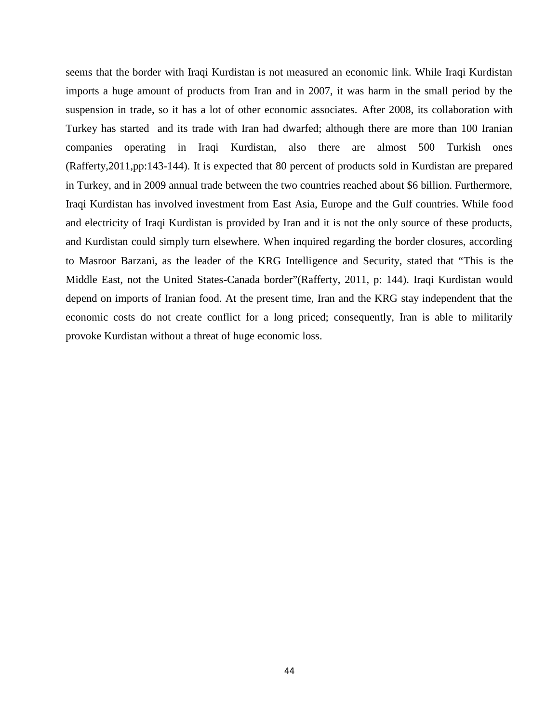seems that the border with Iraqi Kurdistan is not measured an economic link. While Iraqi Kurdistan imports a huge amount of products from Iran and in 2007, it was harm in the small period by the suspension in trade, so it has a lot of other economic associates. After 2008, its collaboration with Turkey has started and its trade with Iran had dwarfed; although there are more than 100 Iranian companies operating in Iraqi Kurdistan, also there are almost 500 Turkish ones (Rafferty,2011,pp:143-144). It is expected that 80 percent of products sold in Kurdistan are prepared in Turkey, and in 2009 annual trade between the two countries reached about \$6 billion. Furthermore, Iraqi Kurdistan has involved investment from East Asia, Europe and the Gulf countries. While food and electricity of Iraqi Kurdistan is provided by Iran and it is not the only source of these products, and Kurdistan could simply turn elsewhere. When inquired regarding the border closures, according to Masroor Barzani, as the leader of the KRG Intelligence and Security, stated that "This is the Middle East, not the United States-Canada border"(Rafferty, 2011, p: 144). Iraqi Kurdistan would depend on imports of Iranian food. At the present time, Iran and the KRG stay independent that the economic costs do not create conflict for a long priced; consequently, Iran is able to militarily provoke Kurdistan without a threat of huge economic loss.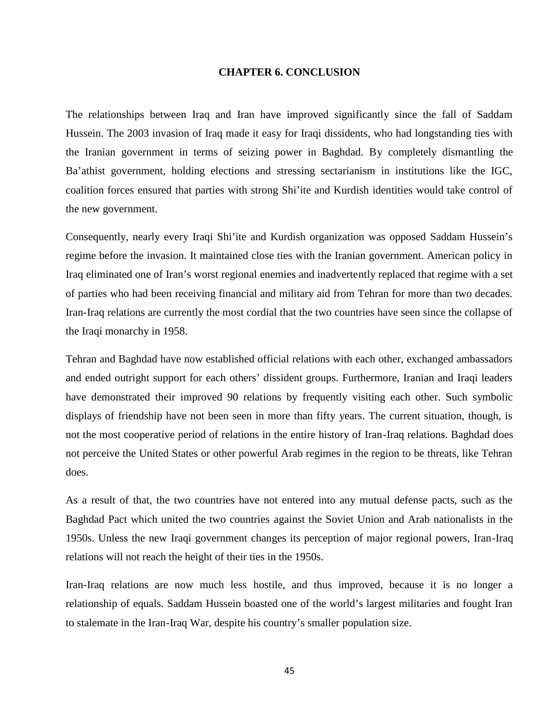#### **CHAPTER 6. CONCLUSION**

The relationships between Iraq and Iran have improved significantly since the fall of Saddam Hussein. The 2003 invasion of Iraq made it easy for Iraqi dissidents, who had longstanding ties with the Iranian government in terms of seizing power in Baghdad. By completely dismantling the Ba'athist government, holding elections and stressing sectarianism in institutions like the IGC, coalition forces ensured that parties with strong Shi'ite and Kurdish identities would take control of the new government.

Consequently, nearly every Iraqi Shi'ite and Kurdish organization was opposed Saddam Hussein's regime before the invasion. It maintained close ties with the Iranian government. American policy in Iraq eliminated one of Iran's worst regional enemies and inadvertently replaced that regime with a set of parties who had been receiving financial and military aid from Tehran for more than two decades. Iran-Iraq relations are currently the most cordial that the two countries have seen since the collapse of the Iraqi monarchy in 1958.

Tehran and Baghdad have now established official relations with each other, exchanged ambassadors and ended outright support for each others' dissident groups. Furthermore, Iranian and Iraqi leaders have demonstrated their improved 90 relations by frequently visiting each other. Such symbolic displays of friendship have not been seen in more than fifty years. The current situation, though, is not the most cooperative period of relations in the entire history of Iran-Iraq relations. Baghdad does not perceive the United States or other powerful Arab regimes in the region to be threats, like Tehran does.

As a result of that, the two countries have not entered into any mutual defense pacts, such as the Baghdad Pact which united the two countries against the Soviet Union and Arab nationalists in the 1950s. Unless the new Iraqi government changes its perception of major regional powers, Iran-Iraq relations will not reach the height of their ties in the 1950s.

Iran-Iraq relations are now much less hostile, and thus improved, because it is no longer a relationship of equals. Saddam Hussein boasted one of the world's largest militaries and fought Iran to stalemate in the Iran-Iraq War, despite his country's smaller population size.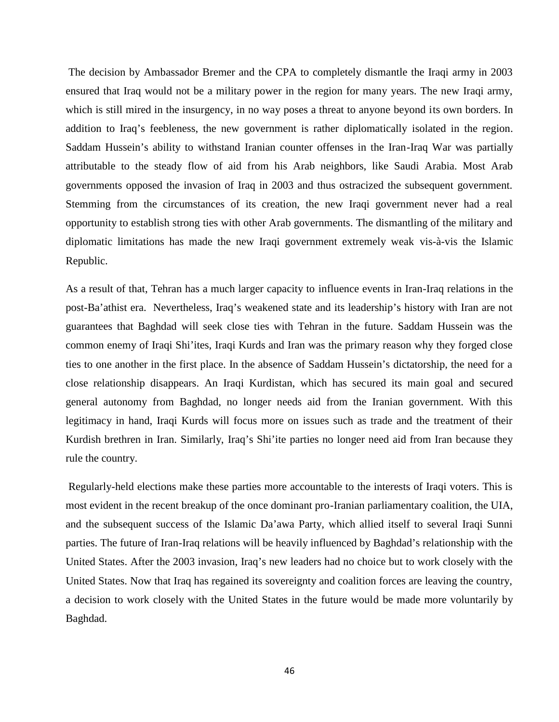The decision by Ambassador Bremer and the CPA to completely dismantle the Iraqi army in 2003 ensured that Iraq would not be a military power in the region for many years. The new Iraqi army, which is still mired in the insurgency, in no way poses a threat to anyone beyond its own borders. In addition to Iraq's feebleness, the new government is rather diplomatically isolated in the region. Saddam Hussein's ability to withstand Iranian counter offenses in the Iran-Iraq War was partially attributable to the steady flow of aid from his Arab neighbors, like Saudi Arabia. Most Arab governments opposed the invasion of Iraq in 2003 and thus ostracized the subsequent government. Stemming from the circumstances of its creation, the new Iraqi government never had a real opportunity to establish strong ties with other Arab governments. The dismantling of the military and diplomatic limitations has made the new Iraqi government extremely weak vis-à-vis the Islamic Republic.

As a result of that, Tehran has a much larger capacity to influence events in Iran-Iraq relations in the post-Ba'athist era. Nevertheless, Iraq's weakened state and its leadership's history with Iran are not guarantees that Baghdad will seek close ties with Tehran in the future. Saddam Hussein was the common enemy of Iraqi Shi'ites, Iraqi Kurds and Iran was the primary reason why they forged close ties to one another in the first place. In the absence of Saddam Hussein's dictatorship, the need for a close relationship disappears. An Iraqi Kurdistan, which has secured its main goal and secured general autonomy from Baghdad, no longer needs aid from the Iranian government. With this legitimacy in hand, Iraqi Kurds will focus more on issues such as trade and the treatment of their Kurdish brethren in Iran. Similarly, Iraq's Shi'ite parties no longer need aid from Iran because they rule the country.

Regularly-held elections make these parties more accountable to the interests of Iraqi voters. This is most evident in the recent breakup of the once dominant pro-Iranian parliamentary coalition, the UIA, and the subsequent success of the Islamic Da'awa Party, which allied itself to several Iraqi Sunni parties. The future of Iran-Iraq relations will be heavily influenced by Baghdad's relationship with the United States. After the 2003 invasion, Iraq's new leaders had no choice but to work closely with the United States. Now that Iraq has regained its sovereignty and coalition forces are leaving the country, a decision to work closely with the United States in the future would be made more voluntarily by Baghdad.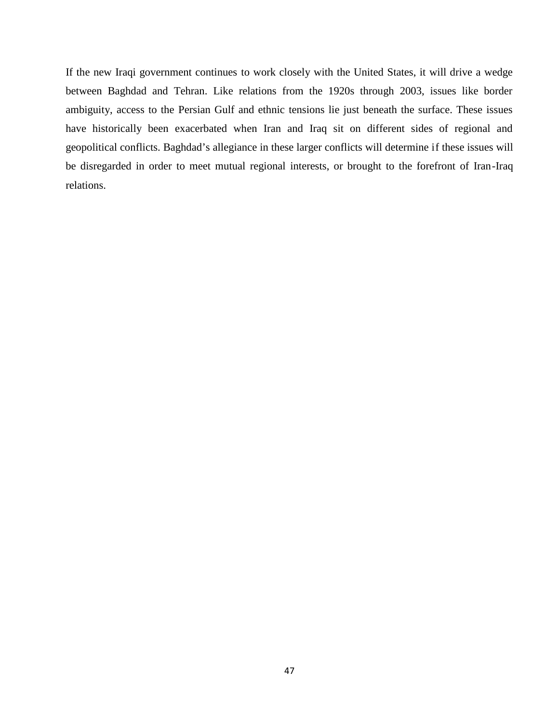If the new Iraqi government continues to work closely with the United States, it will drive a wedge between Baghdad and Tehran. Like relations from the 1920s through 2003, issues like border ambiguity, access to the Persian Gulf and ethnic tensions lie just beneath the surface. These issues have historically been exacerbated when Iran and Iraq sit on different sides of regional and geopolitical conflicts. Baghdad's allegiance in these larger conflicts will determine if these issues will be disregarded in order to meet mutual regional interests, or brought to the forefront of Iran-Iraq relations.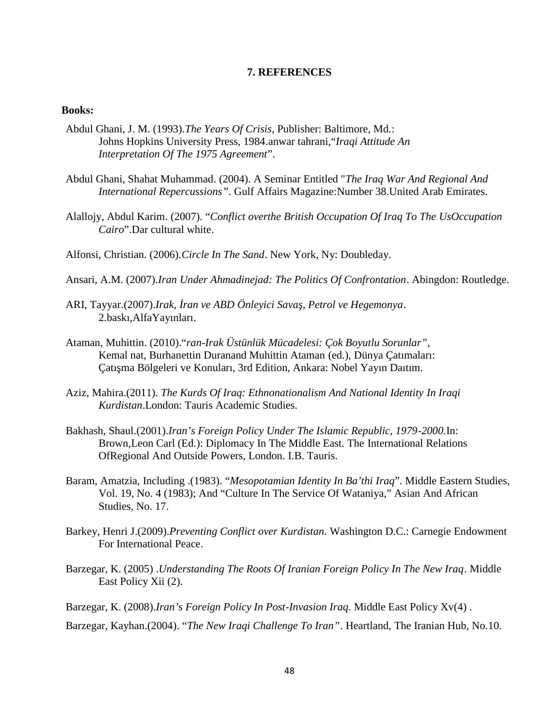#### **7. REFERENCES**

#### **Books:**

- Abdul Ghani, J. M. (1993).*The Years Of Crisis*, Publisher: Baltimore, Md.: Johns Hopkins University Press, 1984.anwar tahrani,"*Iraqi Attitude An Interpretation Of The 1975 Agreement*".
- Abdul Ghani, Shahat Muhammad. (2004). A Seminar Entitled "*The Iraq War And Regional And International Repercussions"*. Gulf Affairs Magazine:Number 38.United Arab Emirates.
- Alallojy, Abdul Karim. (2007). "*Conflict overthe British Occupation Of Iraq To The UsOccupation Cairo*".Dar cultural white.
- Alfonsi, Christian. (2006).*Circle In The Sand*. New York, Ny: Doubleday.
- Ansari, A.M. (2007).*Iran Under Ahmadinejad: The Politics Of Confrontation*. Abingdon: Routledge.
- ARI, Tayyar.(2007).*Irak, ran ve ABD Önleyici Sava, Petrol ve Hegemonya.* 2.baskı,AlfaYayınları.
- Ataman, Muhittin. (2010)."*ran-Irak Üstünlük Mücadelesi: Çok Boyutlu Sorunlar",* Kemal nat, Burhanettin Duranand Muhittin Ataman (ed.), Dünya Çatımaları: Çatı ma Bölgeleri ve Konuları, 3rd Edition, Ankara: Nobel Yayın Daıtım.
- Aziz, Mahira.(2011). *The Kurds Of Iraq: Ethnonationalism And National Identity In Iraqi Kurdistan*.London: Tauris Academic Studies.
- Bakhash, Shaul.(2001).*Iran's Foreign Policy Under The Islamic Republic, 1979-2000.*In: Brown,Leon Carl (Ed.): Diplomacy In The Middle East. The International Relations OfRegional And Outside Powers, London. I.B. Tauris.
- Baram, Amatzia, Including .(1983). "*Mesopotamian Identity In Ba'thi Iraq*". Middle Eastern Studies, Vol. 19, No. 4 (1983); And "Culture In The Service Of Wataniya," Asian And African Studies, No. 17.
- Barkey, Henri J.(2009).*Preventing Conflict over Kurdistan*. Washington D.C.: Carnegie Endowment For International Peace.
- Barzegar, K. (2005) .*Understanding The Roots Of Iranian Foreign Policy In The New Iraq*. Middle East Policy Xii (2).
- Barzegar, K. (2008).*Iran's Foreign Policy In Post-Invasion Iraq*. Middle East Policy Xv(4) .
- Barzegar, Kayhan.(2004). "*The New Iraqi Challenge To Iran"*. Heartland, The Iranian Hub, No.10.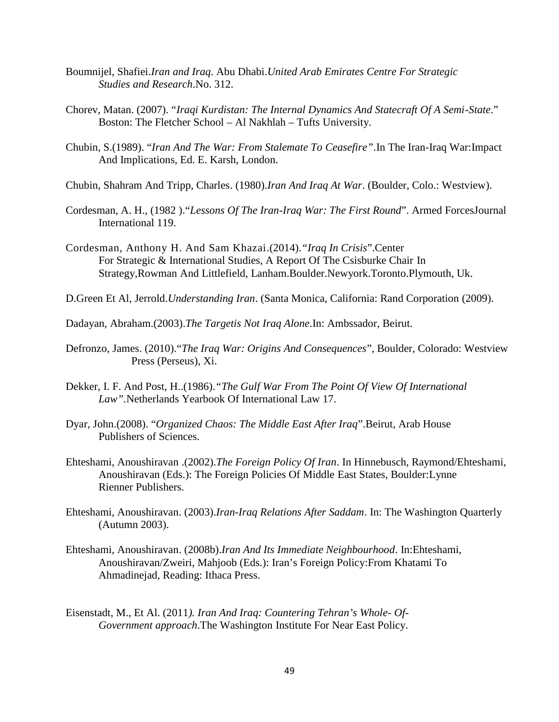- Boumnijel, Shafiei.*Iran and Iraq.* Abu Dhabi.*United Arab Emirates Centre For Strategic Studies and Research*.No. 312.
- Chorev, Matan. (2007). "*Iraqi Kurdistan: The Internal Dynamics And Statecraft Of A Semi-State*." Boston: The Fletcher School – Al Nakhlah – Tufts University.
- Chubin, S.(1989). "*Iran And The War: From Stalemate To Ceasefire"*.In The Iran-Iraq War:Impact And Implications, Ed. E. Karsh, London.
- Chubin, Shahram And Tripp, Charles. (1980).*Iran And Iraq At War*. (Boulder, Colo.: Westview).
- Cordesman, A. H., (1982 )."*Lessons Of The Iran-Iraq War: The First Round*". Armed ForcesJournal International 119.
- Cordesman, Anthony H. And Sam Khazai.(2014).*"Iraq In Crisis*".Center For Strategic & International Studies, A Report Of The Csisburke Chair In Strategy,Rowman And Littlefield, Lanham.Boulder.Newyork.Toronto.Plymouth, Uk.
- D.Green Et Al, Jerrold.*Understanding Iran*. (Santa Monica, California: Rand Corporation (2009).
- Dadayan, Abraham.(2003).*The Targetis Not Iraq Alone*.In: Ambssador, Beirut.
- Defronzo, James. (2010)."*The Iraq War: Origins And Consequences*", Boulder, Colorado: Westview Press (Perseus), Xi.
- Dekker, I. F. And Post, H..(1986).*"The Gulf War From The Point Of View Of International Law".*Netherlands Yearbook Of International Law 17.
- Dyar, John.(2008). "*Organized Chaos: The Middle East After Iraq*".Beirut, Arab House Publishers of Sciences.
- Ehteshami, Anoushiravan .(2002).*The Foreign Policy Of Iran*. In Hinnebusch, Raymond/Ehteshami, Anoushiravan (Eds.): The Foreign Policies Of Middle East States, Boulder:Lynne Rienner Publishers.
- Ehteshami, Anoushiravan. (2003).*Iran-Iraq Relations After Saddam*. In: The Washington Quarterly (Autumn 2003).
- Ehteshami, Anoushiravan. (2008b).*Iran And Its Immediate Neighbourhood*. In:Ehteshami, Anoushiravan/Zweiri, Mahjoob (Eds.): Iran's Foreign Policy:From Khatami To Ahmadinejad, Reading: Ithaca Press.
- Eisenstadt, M., Et Al. (2011*). Iran And Iraq: Countering Tehran's Whole- Of- Government approach*.The Washington Institute For Near East Policy.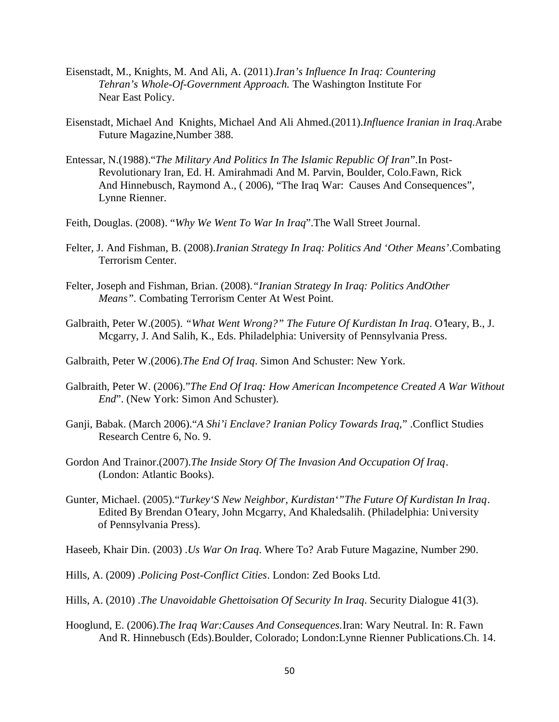- Eisenstadt, M., Knights, M. And Ali, A. (2011).*Iran's Influence In Iraq: Countering Tehran's Whole-Of-Government Approach.* The Washington Institute For Near East Policy.
- Eisenstadt, Michael And Knights, Michael And Ali Ahmed.(2011).*Influence Iranian in Iraq*.Arabe Future Magazine,Number 388.
- Entessar, N.(1988)."*The Military And Politics In The Islamic Republic Of Iran*".In Post- Revolutionary Iran, Ed. H. Amirahmadi And M. Parvin, Boulder, Colo.Fawn, Rick And Hinnebusch, Raymond A., ( 2006), "The Iraq War: Causes And Consequences", Lynne Rienner.
- Feith, Douglas. (2008). "*Why We Went To War In Iraq*".The Wall Street Journal.
- Felter, J. And Fishman, B. (2008).*Iranian Strategy In Iraq: Politics And 'Other Means'*.Combating Terrorism Center.
- Felter, Joseph and Fishman, Brian. (2008).*"Iranian Strategy In Iraq: Politics AndOther Means".* Combating Terrorism Center At West Point.
- Galbraith, Peter W.(2005). *"What Went Wrong?" The Future Of Kurdistan In Iraq*. O'leary, B., J. Mcgarry, J. And Salih, K., Eds. Philadelphia: University of Pennsylvania Press.
- Galbraith, Peter W.(2006).*The End Of Iraq*. Simon And Schuster: New York.
- Galbraith, Peter W. (2006)."*The End Of Iraq: How American Incompetence Created A War Without End*". (New York: Simon And Schuster).
- Ganji, Babak. (March 2006)."*A Shi'i Enclave? Iranian Policy Towards Iraq,*" .Conflict Studies Research Centre 6, No. 9.
- Gordon And Trainor.(2007).*The Inside Story Of The Invasion And Occupation Of Iraq*. (London: Atlantic Books).
- Gunter, Michael. (2005)."*Turkey'S New Neighbor, Kurdistan'"The Future Of Kurdistan In Iraq*. Edited By Brendan O'leary, John Mcgarry, And Khaledsalih. (Philadelphia: University of Pennsylvania Press).
- Haseeb, Khair Din. (2003) .*Us War On Iraq*. Where To? Arab Future Magazine, Number 290.
- Hills, A. (2009) .*Policing Post-Conflict Cities*. London: Zed Books Ltd.
- Hills, A. (2010) .*The Unavoidable Ghettoisation Of Security In Iraq*. Security Dialogue 41(3).
- Hooglund, E. (2006).*The Iraq War:Causes And Consequences.*Iran: Wary Neutral. In: R. Fawn And R. Hinnebusch (Eds).Boulder, Colorado; London:Lynne Rienner Publications.Ch. 14.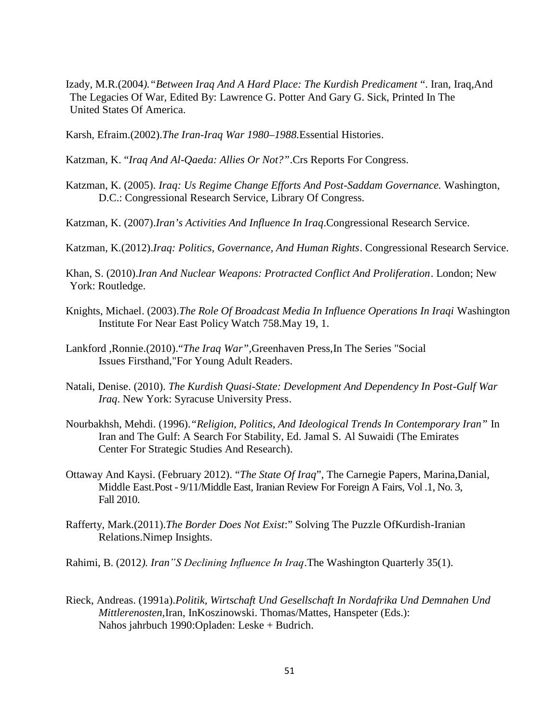- Izady, M.R.(2004*)."Between Iraq And A Hard Place: The Kurdish Predicament* ". Iran, Iraq,And The Legacies Of War, Edited By: Lawrence G. Potter And Gary G. Sick, Printed In The United States Of America.
- Karsh, Efraim.(2002).*The Iran-Iraq War 1980–1988.*Essential Histories.
- Katzman, K. "*Iraq And Al-Qaeda: Allies Or Not?"*.Crs Reports For Congress.
- Katzman, K. (2005). *Iraq: Us Regime Change Efforts And Post-Saddam Governance.* Washington, D.C.: Congressional Research Service, Library Of Congress.
- Katzman, K. (2007).*Iran's Activities And Influence In Iraq*.Congressional Research Service.
- Katzman, K.(2012).*Iraq: Politics, Governance, And Human Rights*. Congressional Research Service.
- Khan, S. (2010).*Iran And Nuclear Weapons: Protracted Conflict And Proliferation*. London; New York: Routledge.
- Knights, Michael. (2003).*The Role Of Broadcast Media In Influence Operations In Iraqi* Washington Institute For Near East Policy Watch 758.May 19, 1.
- Lankford ,Ronnie.(2010)."*The Iraq War",*Greenhaven Press,In The Series "Social Issues Firsthand,"For Young Adult Readers.
- Natali, Denise. (2010). *The Kurdish Quasi-State: Development And Dependency In Post-Gulf War Iraq*. New York: Syracuse University Press.
- Nourbakhsh, Mehdi. (1996).*"Religion, Politics, And Ideological Trends In Contemporary Iran"* In Iran and The Gulf: A Search For Stability, Ed. Jamal S. Al Suwaidi (The Emirates Center For Strategic Studies And Research).
- Ottaway And Kaysi. (February 2012). "*The State Of Iraq*", The Carnegie Papers, Marina,Danial, Middle East.Post - 9/11/Middle East, Iranian Review For Foreign A Fairs, Vol .1, No. 3, Fall 2010.
- Rafferty, Mark.(2011).*The Border Does Not Exist*:" Solving The Puzzle OfKurdish-Iranian Relations.Nimep Insights.
- Rahimi, B. (2012*). Iran"S Declining Influence In Iraq*.The Washington Quarterly 35(1).
- Rieck, Andreas. (1991a).*Politik, Wirtschaft Und Gesellschaft In Nordafrika Und Demnahen Und Mittlerenosten,*Iran, InKoszinowski. Thomas/Mattes, Hanspeter (Eds.): Nahos jahrbuch 1990:Opladen: Leske + Budrich.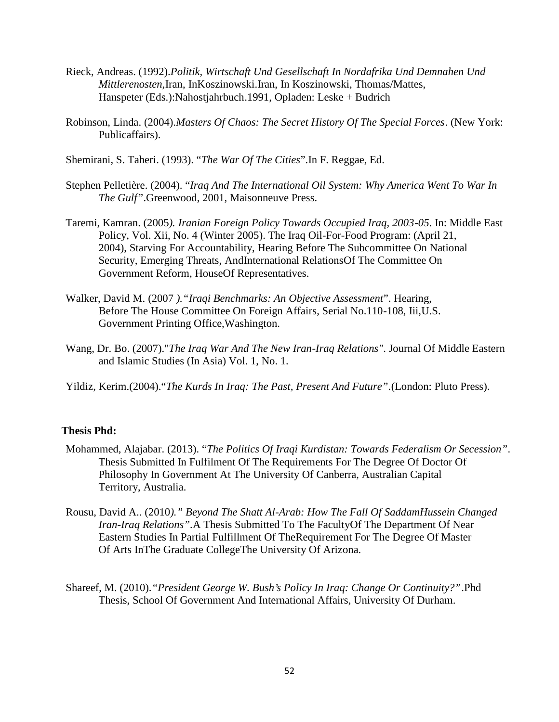- Rieck, Andreas. (1992).*Politik, Wirtschaft Und Gesellschaft In Nordafrika Und Demnahen Und Mittlerenosten,*Iran, InKoszinowski.Iran, In Koszinowski, Thomas/Mattes, Hanspeter (Eds.):Nahostjahrbuch.1991, Opladen: Leske + Budrich
- Robinson, Linda. (2004).*Masters Of Chaos: The Secret History Of The Special Forces*. (New York: Publicaffairs).
- Shemirani, S. Taheri. (1993). "*The War Of The Cities*".In F. Reggae, Ed.
- Stephen Pelletière. (2004). "*Iraq And The International Oil System: Why America Went To War In The Gulf"*.Greenwood, 2001, Maisonneuve Press.
- Taremi, Kamran. (2005*). Iranian Foreign Policy Towards Occupied Iraq, 2003-05*. In: Middle East Policy, Vol. Xii, No. 4 (Winter 2005). The Iraq Oil-For-Food Program: (April 21, 2004), Starving For Accountability, Hearing Before The Subcommittee On National Security, Emerging Threats, AndInternational RelationsOf The Committee On Government Reform, HouseOf Representatives.
- Walker, David M. (2007 *)."Iraqi Benchmarks: An Objective Assessment*". Hearing, Before The House Committee On Foreign Affairs, Serial No.110-108, Iii,U.S. Government Printing Office,Washington.
- Wang, Dr. Bo. (2007)."*The Iraq War And The New Iran-Iraq Relations"*. Journal Of Middle Eastern and Islamic Studies (In Asia) Vol. 1, No. 1.
- Yildiz, Kerim.(2004)."*The Kurds In Iraq: The Past, Present And Future".*(London: Pluto Press).

## **Thesis Phd:**

- Mohammed, Alajabar. (2013). "*The Politics Of Iraqi Kurdistan: Towards Federalism Or Secession".* Thesis Submitted In Fulfilment Of The Requirements For The Degree Of Doctor Of Philosophy In Government At The University Of Canberra, Australian Capital Territory, Australia.
- Rousu, David A.. (2010*)." Beyond The Shatt Al-Arab: How The Fall Of SaddamHussein Changed Iran-Iraq Relations".*A Thesis Submitted To The FacultyOf The Department Of Near Eastern Studies In Partial Fulfillment Of TheRequirement For The Degree Of Master Of Arts InThe Graduate CollegeThe University Of Arizona.
- Shareef, M. (2010).*"President George W. Bush's Policy In Iraq: Change Or Continuity?"*.Phd Thesis, School Of Government And International Affairs, University Of Durham.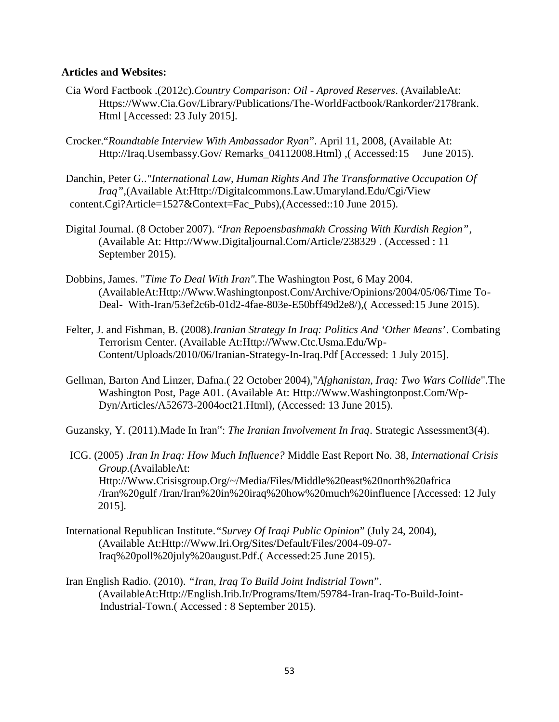### **Articles and Websites:**

- Cia Word Factbook .(2012c).*Country Comparison: Oil - Aproved Reserves*. (AvailableAt: Https://Www.Cia.Gov/Library/Publications/The-WorldFactbook/Rankorder/2178rank. Html [Accessed: 23 July 2015].
- Crocker."*Roundtable Interview With Ambassador Ryan*". April 11, 2008, (Available At: Http://Iraq.Usembassy.Gov/ Remarks\_04112008.Html) ,( Accessed:15 June 2015).
- Danchin, Peter G..*"International Law, Human Rights And The Transformative Occupation Of Iraq",*(Available At:Http://Digitalcommons.Law.Umaryland.Edu/Cgi/View content.Cgi?Article=1527&Context=Fac\_Pubs),(Accessed::10 June 2015).
- Digital Journal. (8 October 2007). "*Iran Repoensbashmakh Crossing With Kurdish Region"*, (Available At: Http://Www.Digitaljournal.Com/Article/238329 . (Accessed : 11 September 2015).
- Dobbins, James. "*Time To Deal With Iran".*The Washington Post, 6 May 2004. (AvailableAt:Http://Www.Washingtonpost.Com/Archive/Opinions/2004/05/06/Time To- Deal- With-Iran/53ef2c6b-01d2-4fae-803e-E50bff49d2e8/),( Accessed:15 June 2015).
- Felter, J. and Fishman, B. (2008).*Iranian Strategy In Iraq: Politics And 'Other Means*'. Combating Terrorism Center. (Available At:Http://Www.Ctc.Usma.Edu/Wp- Content/Uploads/2010/06/Iranian-Strategy-In-Iraq.Pdf [Accessed: 1 July 2015].
- Gellman, Barton And Linzer, Dafna.( 22 October 2004),"*Afghanistan, Iraq: Two Wars Collide*".The Washington Post, Page A01. (Available At: Http://Www.Washingtonpost.Com/Wp- Dyn/Articles/A52673-2004oct21.Html), (Accessed: 13 June 2015).
- Guzansky, Y. (2011).Made In Iran": *The Iranian Involvement In Iraq*. Strategic Assessment3(4).
- ICG. (2005) .*Iran In Iraq: How Much Influence?* Middle East Report No. 38, *International Crisis Group.*(AvailableAt: Http://Www.Crisisgroup.Org/~/Media/Files/Middle%20east%20north%20africa /Iran%20gulf /Iran/Iran%20in%20iraq%20how%20much%20influence [Accessed: 12 July 2015].
- International Republican Institute.*"Survey Of Iraqi Public Opinion*" (July 24, 2004), (Available At:Http://Www.Iri.Org/Sites/Default/Files/2004-09-07- Iraq%20poll%20july%20august.Pdf.( Accessed:25 June 2015).
- Iran English Radio. (2010). *"Iran, Iraq To Build Joint Indistrial Town*". (AvailableAt:Http://English.Irib.Ir/Programs/Item/59784-Iran-Iraq-To-Build-Joint-Industrial-Town.( Accessed : 8 September 2015).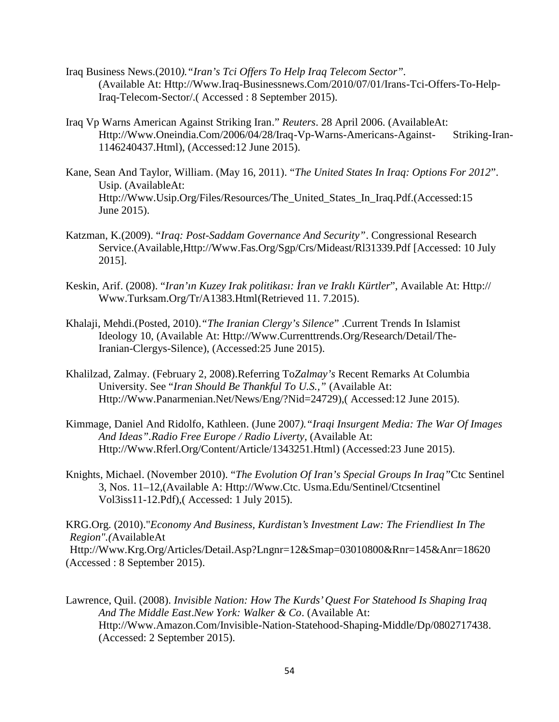- Iraq Business News.(2010*)."Iran's Tci Offers To Help Iraq Telecom Sector".* (Available At: Http://Www.Iraq-Businessnews.Com/2010/07/01/Irans-Tci-Offers-To-Help-Iraq-Telecom-Sector/.( Accessed : 8 September 2015).
- Iraq Vp Warns American Against Striking Iran." *Reuters*. 28 April 2006. (AvailableAt: Http://Www.Oneindia.Com/2006/04/28/Iraq-Vp-Warns-Americans-Against- Striking-Iran- 1146240437.Html), (Accessed:12 June 2015).
- Kane, Sean And Taylor, William. (May 16, 2011). "*The United States In Iraq: Options For 2012*". Usip. (AvailableAt: Http://Www.Usip.Org/Files/Resources/The\_United\_States\_In\_Iraq.Pdf.(Accessed:15 June 2015).
- Katzman, K.(2009). "*Iraq: Post-Saddam Governance And Security"*. Congressional Research Service.(Available,Http://Www.Fas.Org/Sgp/Crs/Mideast/Rl31339.Pdf [Accessed: 10 July 2015].
- Keskin, Arif. (2008). "*Iran'ın Kuzey Irak politikası: İran ve Iraklı Kürtler*", Available At: Http:// Www.Turksam.Org/Tr/A1383.Html(Retrieved 11. 7.2015).
- Khalaji, Mehdi.(Posted, 2010).*"The Iranian Clergy's Silence*" .Current Trends In Islamist Ideology 10, (Available At: Http://Www.Currenttrends.Org/Research/Detail/The-Iranian-Clergys-Silence), (Accessed:25 June 2015).
- Khalilzad, Zalmay. (February 2, 2008).Referring To*Zalmay's* Recent Remarks At Columbia University. See "*Iran Should Be Thankful To U.S.,"* (Available At: Http://Www.Panarmenian.Net/News/Eng/?Nid=24729),( Accessed:12 June 2015).
- Kimmage, Daniel And Ridolfo, Kathleen. (June 2007*)."Iraqi Insurgent Media: The War Of Images And Ideas".Radio Free Europe / Radio Liverty*, (Available At: Http://Www.Rferl.Org/Content/Article/1343251.Html) (Accessed:23 June 2015).
- Knights, Michael. (November 2010). "*The Evolution Of Iran's Special Groups In Iraq"*Ctc Sentinel 3, Nos. 11–12,(Available A: Http://Www.Ctc. Usma.Edu/Sentinel/Ctcsentinel Vol3iss11-12.Pdf),( Accessed: 1 July 2015).

KRG.Org. (2010)."*Economy And Business, Kurdistan's Investment Law: The Friendliest In The Region".(*AvailableAt

Http://Www.Krg.Org/Articles/Detail.Asp?Lngnr=12&Smap=03010800&Rnr=145&Anr=18620 (Accessed : 8 September 2015).

Lawrence, Quil. (2008). *Invisible Nation: How The Kurds' Quest For Statehood Is Shaping Iraq And The Middle East*.*New York: Walker & Co*. (Available At: Http://Www.Amazon.Com/Invisible-Nation-Statehood-Shaping-Middle/Dp/0802717438. (Accessed: 2 September 2015).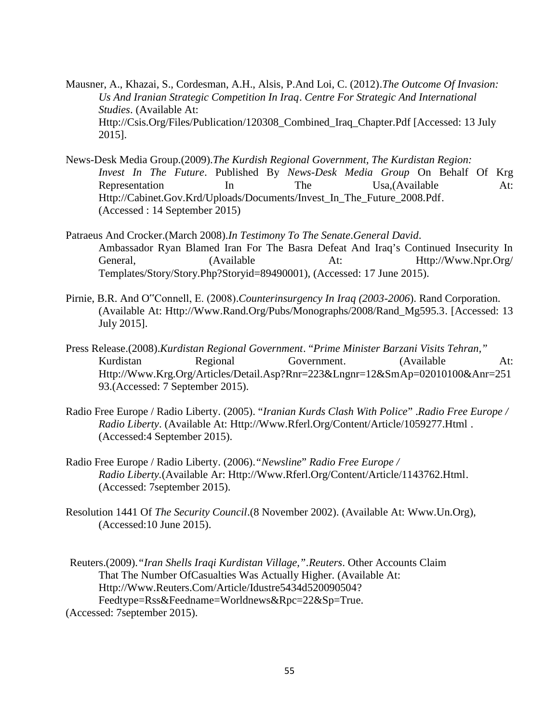- Mausner, A., Khazai, S., Cordesman, A.H., Alsis, P.And Loi, C. (2012).*The Outcome Of Invasion: Us And Iranian Strategic Competition In Iraq*. *Centre For Strategic And International Studies*. (Available At: Http://Csis.Org/Files/Publication/120308\_Combined\_Iraq\_Chapter.Pdf [Accessed: 13 July 2015].
- News-Desk Media Group.(2009).*The Kurdish Regional Government, The Kurdistan Region: Invest In The Future*. Published By *News-Desk Media Group* On Behalf Of Krg Representation In The Usa, (Available At: Http://Cabinet.Gov.Krd/Uploads/Documents/Invest\_In\_The\_Future\_2008.Pdf. (Accessed : 14 September 2015)
- Patraeus And Crocker.(March 2008).*In Testimony To The Senate*.*General David*. Ambassador Ryan Blamed Iran For The Basra Defeat And Iraq's Continued Insecurity In General, (Available At: Http://Www.Npr.Org/ Templates/Story/Story.Php?Storyid=89490001), (Accessed: 17 June 2015).
- Pirnie, B.R. And O"Connell, E. (2008).*Counterinsurgency In Iraq (2003-2006*). Rand Corporation. (Available At: Http://Www.Rand.Org/Pubs/Monographs/2008/Rand\_Mg595.3. [Accessed: 13 July 2015].
- Press Release.(2008).*Kurdistan Regional Government*. "*Prime Minister Barzani Visits Tehran,"* Kurdistan Regional Government. (Available At: Http://Www.Krg.Org/Articles/Detail.Asp?Rnr=223&Lngnr=12&SmAp=02010100&Anr=251 93.(Accessed: 7 September 2015).
- Radio Free Europe / Radio Liberty. (2005). "*Iranian Kurds Clash With Police*" .*Radio Free Europe / Radio Liberty*. (Available At: Http://Www.Rferl.Org/Content/Article/1059277.Html . (Accessed:4 September 2015).
- Radio Free Europe / Radio Liberty. (2006).*"Newsline*" *Radio Free Europe / Radio Liberty.*(Available Ar: Http://Www.Rferl.Org/Content/Article/1143762.Html. (Accessed: 7september 2015).
- Resolution 1441 Of *The Security Council*.(8 November 2002). (Available At: Www.Un.Org), (Accessed:10 June 2015).
- Reuters.(2009).*"Iran Shells Iraqi Kurdistan Village,".Reuters*. Other Accounts Claim That The Number OfCasualties Was Actually Higher. (Available At: Http://Www.Reuters.Com/Article/Idustre5434d520090504? Feedtype=Rss&Feedname=Worldnews&Rpc=22&Sp=True. (Accessed: 7september 2015).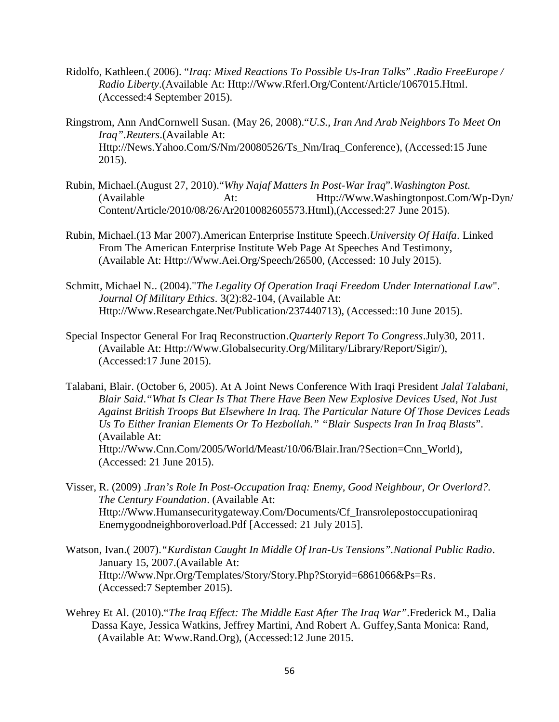- Ridolfo, Kathleen.( 2006). "*Iraq: Mixed Reactions To Possible Us-Iran Talks*" .*Radio FreeEurope / Radio Liberty*.(Available At: Http://Www.Rferl.Org/Content/Article/1067015.Html. (Accessed:4 September 2015).
- Ringstrom, Ann AndCornwell Susan. (May 26, 2008)."*U.S., Iran And Arab Neighbors To Meet On Iraq".Reuters*.(Available At: Http://News.Yahoo.Com/S/Nm/20080526/Ts\_Nm/Iraq\_Conference), (Accessed:15 June 2015).
- Rubin, Michael.(August 27, 2010)."*Why Najaf Matters In Post-War Iraq*".*Washington Post.* (Available At: Http://Www.Washingtonpost.Com/Wp-Dyn/ Content/Article/2010/08/26/Ar2010082605573.Html),(Accessed:27 June 2015).
- Rubin, Michael.(13 Mar 2007).American Enterprise Institute Speech.*University Of Haifa*. Linked From The American Enterprise Institute Web Page At Speeches And Testimony, (Available At: Http://Www.Aei.Org/Speech/26500, (Accessed: 10 July 2015).
- Schmitt, Michael N.. (2004)."*The Legality Of Operation Iraqi Freedom Under International Law*". *Journal Of Military Ethics.* 3(2):82-104, (Available At: Http://Www.Researchgate.Net/Publication/237440713), (Accessed::10 June 2015).
- Special Inspector General For Iraq Reconstruction.*Quarterly Report To Congress*.July30, 2011. (Available At: Http://Www.Globalsecurity.Org/Military/Library/Report/Sigir/), (Accessed:17 June 2015).

Talabani, Blair. (October 6, 2005). At A Joint News Conference With Iraqi President *Jalal Talabani, Blair Said*.*"What Is Clear Is That There Have Been New Explosive Devices Used, Not Just Against British Troops But Elsewhere In Iraq. The Particular Nature Of Those Devices Leads Us To Either Iranian Elements Or To Hezbollah." "Blair Suspects Iran In Iraq Blasts*". (Available At: Http://Www.Cnn.Com/2005/World/Meast/10/06/Blair.Iran/?Section=Cnn\_World), (Accessed: 21 June 2015).

- Visser, R. (2009) .*Iran's Role In Post-Occupation Iraq: Enemy, Good Neighbour, Or Overlord?. The Century Foundation*. (Available At: Http://Www.Humansecuritygateway.Com/Documents/Cf\_Iransrolepostoccupationiraq Enemygoodneighboroverload.Pdf [Accessed: 21 July 2015].
- Watson, Ivan.( 2007).*"Kurdistan Caught In Middle Of Iran-Us Tensions".National Public Radio*. January 15, 2007.(Available At: Http://Www.Npr.Org/Templates/Story/Story.Php?Storyid=6861066&Ps=Rs. (Accessed:7 September 2015).
- Wehrey Et Al. (2010)."*The Iraq Effect: The Middle East After The Iraq War".*Frederick M., Dalia Dassa Kaye, Jessica Watkins, Jeffrey Martini, And Robert A. Guffey,Santa Monica: Rand, (Available At: Www.Rand.Org), (Accessed:12 June 2015.